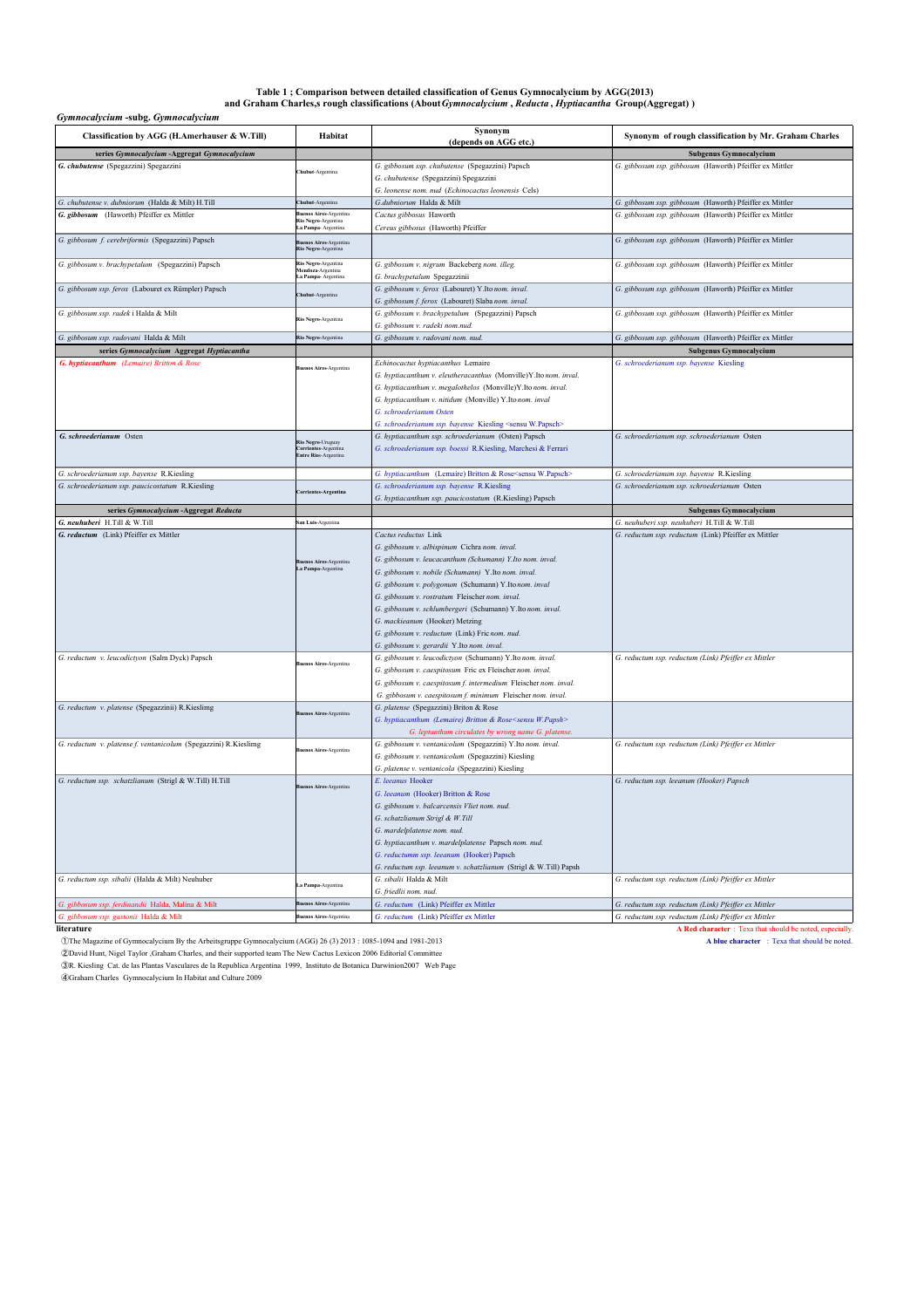### Table 1 ; Comparison between detailed classification of Genus Gymnocalycium by AGG(2013)<br>and Graham Charles,s rough classifications (About Gymnocalycium , Reducta , Hyptiacantha Group(Aggregat))

### *Gymnocalycium* **-subg.** *Gymnocalycium*

| Gymnocatycium -subg. Gymnocatycium                              |                                                                           |                                                                                                                                                                                                                                                                                                                                                                                                                                                                                             |                                                         |  |
|-----------------------------------------------------------------|---------------------------------------------------------------------------|---------------------------------------------------------------------------------------------------------------------------------------------------------------------------------------------------------------------------------------------------------------------------------------------------------------------------------------------------------------------------------------------------------------------------------------------------------------------------------------------|---------------------------------------------------------|--|
| Classification by AGG (H.Amerhauser & W.Till)                   | Habitat                                                                   | Synonym<br>(depends on AGG etc.)                                                                                                                                                                                                                                                                                                                                                                                                                                                            | Synonym of rough classification by Mr. Graham Charles   |  |
| series Gymnocalycium - Aggregat Gymnocalycium                   |                                                                           |                                                                                                                                                                                                                                                                                                                                                                                                                                                                                             | <b>Subgenus Gymnocalycium</b>                           |  |
| G. chubutense (Spegazzini) Spegazzini                           | hubut-Argentina                                                           | G. gibbosum ssp. chubutense (Spegazzini) Papsch<br>G. chubutense (Spegazzini) Spegazzini<br>G. leonense nom. nud (Echinocactus leonensis Cels)                                                                                                                                                                                                                                                                                                                                              | G. gibbosum ssp. gibbosum (Haworth) Pfeiffer ex Mittler |  |
| G. chubutense v. dubniorum (Halda & Milt) H.Till                | hubut-Argentina                                                           | G.dubniorum Halda & Milt                                                                                                                                                                                                                                                                                                                                                                                                                                                                    | G. gibbosum ssp. gibbosum (Haworth) Pfeiffer ex Mittler |  |
| G. gibbosum (Haworth) Pfeiffer ex Mittler                       | <b>Suenos Aires-Argenting</b><br>Rio Negro-Argentina<br>a Pampa-Argentina | Cactus gibbosus Haworth<br>Cereus gibbosus (Haworth) Pfeiffer                                                                                                                                                                                                                                                                                                                                                                                                                               | G. gibbosum ssp. gibbosum (Haworth) Pfeiffer ex Mittler |  |
| G. gibbosum f. cerebriformis (Spegazzini) Papsch                | <b>Buenos Aires-Argentina</b><br>Rio Negro-Argentina                      |                                                                                                                                                                                                                                                                                                                                                                                                                                                                                             | G. gibbosum ssp. gibbosum (Haworth) Pfeiffer ex Mittler |  |
| G. gibbosum v. brachypetalum (Spegazzini) Papsch                | Rio Negro-Argentina<br>Mendoza-Argentina<br>a Pampa-Argentina             | G. gibbosum v. nigrum Backeberg nom. illeg.<br>G. brachypetalum Spegazzinii                                                                                                                                                                                                                                                                                                                                                                                                                 | G. gibbosum ssp. gibbosum (Haworth) Pfeiffer ex Mittler |  |
| G. gibbosum ssp. ferox (Labouret ex Rümpler) Papsch             | <b>hubut-Argentina</b>                                                    | G. gibbosum v. ferox (Labouret) Y.Itonom. inval.<br>G. gibbosum f. ferox (Labouret) Slaba nom. inval.                                                                                                                                                                                                                                                                                                                                                                                       | G. gibbosum ssp. gibbosum (Haworth) Pfeiffer ex Mittler |  |
| G. gibbosum ssp. radek i Halda & Milt                           | Rio Negro-Argentina                                                       | G. gibbosum v. brachypetalum (Spegazzini) Papsch<br>G. gibbosum v. radeki nom.nud.                                                                                                                                                                                                                                                                                                                                                                                                          | G. gibbosum ssp. gibbosum (Haworth) Pfeiffer ex Mittler |  |
| G. gibbosum ssp. radovani Halda & Milt                          | Rio Negro-Argentina                                                       | G. gibbosum v. radovani nom. nud.                                                                                                                                                                                                                                                                                                                                                                                                                                                           | G. gibbosum ssp. gibbosum (Haworth) Pfeiffer ex Mittler |  |
| series Gymnocalycium Aggregat Hyptiacantha                      |                                                                           |                                                                                                                                                                                                                                                                                                                                                                                                                                                                                             | Subgenus Gymnocalycium                                  |  |
| G. hyptiacanthum (Lemaire) Britton & Rose                       | enos Aires-Argentina                                                      | Echinocactus hyptiacanthus Lemaire<br>G. hyptiacanthum v. eleutheracanthus (Monville)Y.Itonom. inval.<br>G. hyptiacanthum v. megalothelos (Monville)Y.Ito nom. inval.<br>G. hyptiacanthum v. nitidum (Monville) Y.Itonom. inval<br>G. schroederianum Osten<br>G. schroederianum ssp. bayense Kiesling <sensu w.papsch=""></sensu>                                                                                                                                                           | G. schroederianum ssp. bayense Kiesling                 |  |
| G. schroederianum Osten                                         | Rio Negro-Uruguay<br>Corrientes-Argentina<br>Entre Rios-Argentina         | G. hyptiacanthum ssp. schroederianum (Osten) Papsch<br>G. schroederianum ssp. boessi R.Kiesling, Marchesi & Ferrari                                                                                                                                                                                                                                                                                                                                                                         | G. schroederianum ssp. schroederianum Osten             |  |
| G. schroederianum ssp. bayense R.Kiesling                       |                                                                           | G. hyptiacanthum (Lemaire) Britton & Rose <sensu w.papsch=""></sensu>                                                                                                                                                                                                                                                                                                                                                                                                                       | G. schroederianum ssp. bayense R.Kiesling               |  |
| G. schroederianum ssp. paucicostatum R.Kiesling                 | orrientes-Argentina                                                       | G. schroederianum ssp. bayense R.Kiesling<br>G. hyptiacanthum ssp. paucicostatum (R.Kiesling) Papsch                                                                                                                                                                                                                                                                                                                                                                                        | G. schroederianum ssp. schroederianum Osten             |  |
| series Gymnocalycium - Aggregat Reducta                         |                                                                           |                                                                                                                                                                                                                                                                                                                                                                                                                                                                                             | Subgenus Gymnocalycium                                  |  |
| G. neuhuberi H.Till & W.Till                                    | san Luis-Argentina                                                        |                                                                                                                                                                                                                                                                                                                                                                                                                                                                                             | G. neuhuberi ssp. neuhuberi H.Till & W.Till             |  |
| G. reductum (Link) Pfeiffer ex Mittler                          | nos Aires-Argentina<br>La Pampa-Argentina                                 | Cactus reductus Link<br>G. gibbosum v. albispinum Cichra nom. inval.<br>G. gibbosum v. leucacanthum (Schumann) Y.Ito nom. inval.<br>G. gibbosum v. nobile (Schumann) Y.Ito nom. inval.<br>G. gibbosum v. polygonum (Schumann) Y.Itonom. inval<br>G. gibbosum v. rostratum Fleischer nom. inval.<br>G. gibbosum v. schlumbergeri (Schumann) Y.Itonom. inval.<br>G. mackieanum (Hooker) Metzing<br>G. gibbosum v. reductum (Link) Fric nom. nud.<br>G. gibbosum v. gerardii Y.Ito nom. inval. | G. reductum ssp. reductum (Link) Pfeiffer ex Mittler    |  |
| G. reductum v. leucodictyon (Salm Dyck) Papsch                  | enos Aires-Argentina                                                      | G. gibbosum v. leucodictyon (Schumann) Y.Itonom. inval.<br>G. gibbosum v. caespitosum Fric ex Fleischernom. inval.<br>G. gibbosum v. caespitosum f. intermedium Fleischer nom. inval.<br>G. gibbosum v. caespitosum f. minimum Fleischer nom. inval.                                                                                                                                                                                                                                        | G. reductum ssp. reductum (Link) Pfeiffer ex Mittler    |  |
| G. reductum v. platense (Spegazzinii) R.Kieslimg                | uenos Aires-Argentina                                                     | G. platense (Spegazzini) Briton & Rose<br>G. hyptiacanthum (Lemaire) Britton & Rose <sensu w.papsh=""><br/>G. leptanthum circulates by wrong name G. platense.</sensu>                                                                                                                                                                                                                                                                                                                      |                                                         |  |
| G. reductum v. platense f. ventanicolum (Spegazzini) R.Kieslimg | enos Aires-Argentina                                                      | G. gibbosum v. ventanicolum (Spegazzini) Y.Ito nom. inval.<br>G. gibbosum v. ventanicolum (Spegazzini) Kiesling<br>G. platense v. ventanicola (Spegazzini) Kiesling                                                                                                                                                                                                                                                                                                                         | G. reductum ssp. reductum (Link) Pfeiffer ex Mittler    |  |
| G. reductum ssp. schatzlianum (Strigl & W.Till) H.Till          | enos Aires-Argentina                                                      | E. leeanus Hooker<br>G. leeanum (Hooker) Britton & Rose<br>G. gibbosum v. balcarcensis Vliet nom. nud.<br>G. schatzlianum Strigl & W.Till<br>G. mardelplatense nom. nud.<br>G. hyptiacanthum v. mardelplatense Papsch nom. nud.<br>G. reductumm ssp. leeanum (Hooker) Papsch<br>G. reductum ssp. leeanum v. schatzlianum (Strigl & W.Till) Papsh                                                                                                                                            | G. reductum ssp. leeanum (Hooker) Papsch                |  |
| G. reductum ssp. sibalii (Halda & Milt) Neuhuber                | La Pampa-Argentina                                                        | G. sibalii Halda & Milt<br>G. friedlii nom. nud.                                                                                                                                                                                                                                                                                                                                                                                                                                            | G. reductum ssp. reductum (Link) Pfeiffer ex Mittler    |  |
| G. gibbosum ssp. ferdinandii Halda, Malina & Milt               | <b>Buenos Aires-Argentina</b>                                             | G. reductum (Link) Pfeiffer ex Mittler                                                                                                                                                                                                                                                                                                                                                                                                                                                      | G. reductum ssp. reductum (Link) Pfeiffer ex Mittler    |  |
| G. gibbosum ssp. gastonii Halda & Milt                          | <b>Buenos Aires-Argentina</b>                                             | G. reductum (Link) Pfeiffer ex Mittler                                                                                                                                                                                                                                                                                                                                                                                                                                                      | G. reductum ssp. reductum (Link) Pfeiffer ex Mittler    |  |

Literature<br> **literature A Red character** : Texa that should be noted, especially.<br>
The Magazine of Gymnocalycium By the Arbeitsgruppe Gymnocalycium (AGG) 26 (3) 2013 : 1085-1094 and 1981-2013<br> **A Red character :** Texa th ①The Magazine of Gymnocalycium By the Arbeitsgruppe Gymnocalycium (AGG) 26 (3) 2013 : 1085-1094 and 1981-2013 **A blue character** : Texa that should be noted.

②David Hunt, Nigel Taylor ,Graham Charles, and their supported team The New Cactus Lexicon 2006 Editorial Committee<br>③R. Kiesling Cat. de las Plantas Vasculares de la Republica Argentina 1999, Instituto de Botanica Darwinio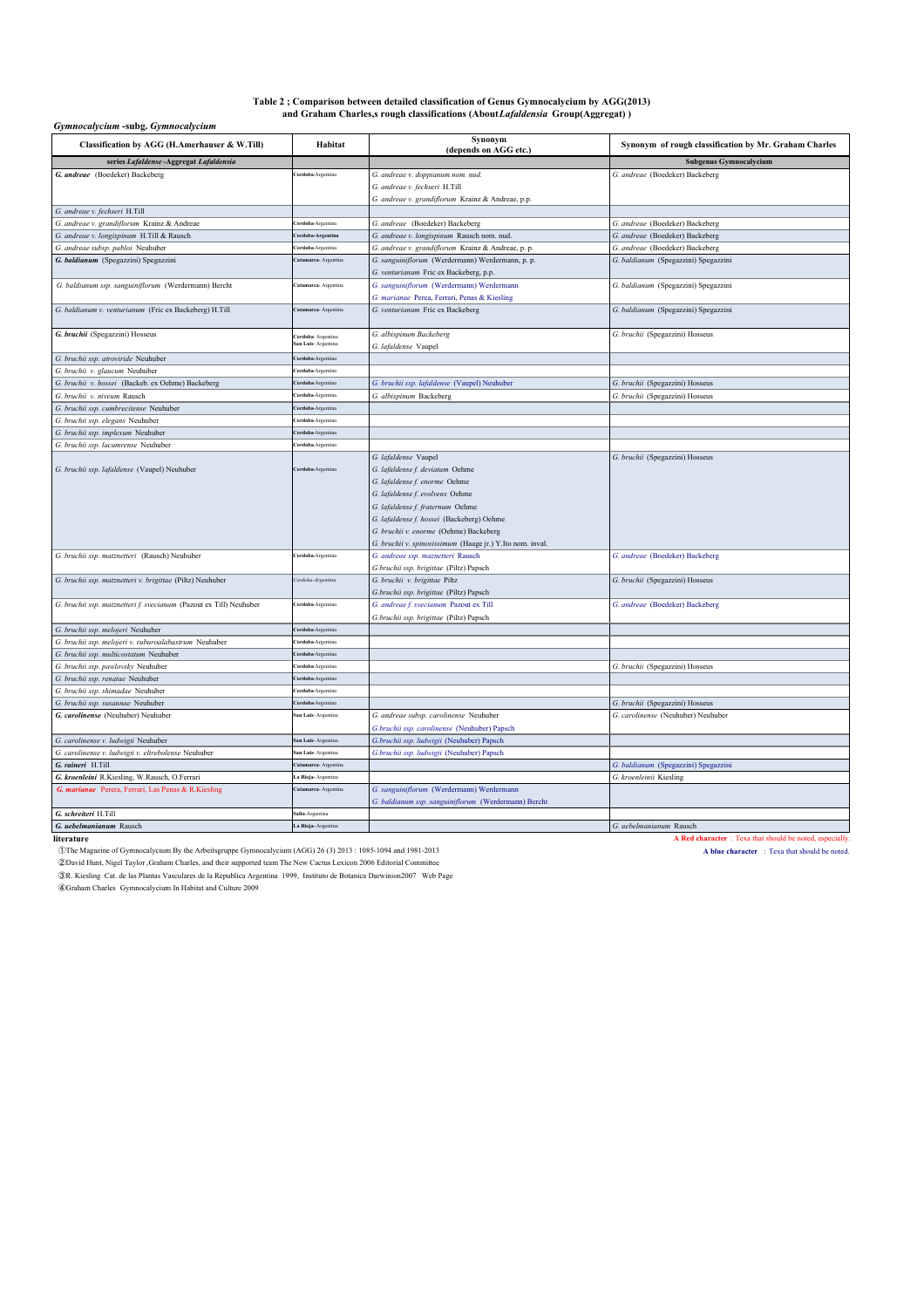# Table 2 ; Comparison between detailed classification of Genus Gymnocalycium by AGG(2013)<br>and Graham Charles,s rough classifications (About*Lafaldensia* Group(Aggregat) )

### *Gymnocalycium* **-subg.** *Gymnocalycium*

| Classification by AGG (H.Amerhauser & W.Till)                      | Habitat                   | Synonym<br>(depends on AGG etc.)                          | Synonym of rough classification by Mr. Graham Charles |
|--------------------------------------------------------------------|---------------------------|-----------------------------------------------------------|-------------------------------------------------------|
| series Lafaldense - Aggregat Lafaldensia                           |                           |                                                           | <b>Subgenus Gymnocalycium</b>                         |
| G. andreae (Boedeker) Backeberg                                    | <b>Cordoba-Argentina</b>  | G. andreae v. doppianum nom. nud.                         | G. andreae (Boedeker) Backeberg                       |
|                                                                    |                           | G. andreae v. fechseri H.Till                             |                                                       |
|                                                                    |                           | G. andreae v. grandiflorum Krainz & Andreae, p.p.         |                                                       |
| G. andreae v. fechseri H.Till                                      |                           |                                                           |                                                       |
| G. andreae v. grandiflorum Krainz & Andreae                        | <b>ordoba-Argentina</b>   | G. andreae (Boedeker) Backeberg                           | G. andreae (Boedeker) Backeberg                       |
| G. andreae v. longispinum H.Till & Rausch                          | Cordoba-Argentina         | G. andreae v. longispinum Rausch nom. nud.                | G. andreae (Boedeker) Backeberg                       |
| G. andreae subsp. pabloi Neuhuber                                  | <b>ordoba-Argentina</b>   | G. andreae v. grandiflorum Krainz & Andreae, p. p.        | G. andreae (Boedeker) Backeberg                       |
| G. baldianum (Spegazzini) Spegazzini                               | atamarca- Argentina       | G. sanguiniflorum (Werdermann) Werdermann, p. p.          | G. baldianum (Spegazzini) Spegazzini                  |
|                                                                    |                           | G. venturianum Fric ex Backeberg, p.p.                    |                                                       |
| G. baldianum ssp. sanguiniflorum (Werdermann) Bercht               | Catamarca- Argentina      | G. sanguiniflorum (Werdermann) Werdermann                 | G. baldianum (Spegazzini) Spegazzini                  |
|                                                                    |                           | G. marianae Perea, Ferrari, Penas & Kiesling              |                                                       |
| G. baldianum v. venturianum (Fric ex Backeberg) H.Till             | Catamarca- Argentina      | G. venturianum Fric ex Backeberg                          | G. baldianum (Spegazzini) Spegazzini                  |
| G. bruchii (Spegazzini) Hosseus                                    | <b>Cordoba-</b> Argentina | G. albispinum Backeberg                                   | G. bruchii (Spegazzini) Hosseus                       |
|                                                                    | san Luis-Argentina        | G. lafaldense Vaupel                                      |                                                       |
| G. bruchii ssp. atroviride Neuhuber                                | <b>'ordoba-Argentina</b>  |                                                           |                                                       |
| G. bruchii v. glaucum Neuhuber                                     | <b>ordoba-Argentina</b>   |                                                           |                                                       |
| G. bruchii v. hossei (Backeb. ex Oehme) Backeberg                  | Cordoba-Argentina         | G. bruchii ssp. lafaldense (Vaupel) Neuhuber              | G. bruchii (Spegazzini) Hosseus                       |
| G. bruchii v. niveum Rausch                                        | <b>ordoba-Argentina</b>   | G. albispinum Backeberg                                   | G. bruchii (Spegazzini) Hosseus                       |
| G. bruchii ssp. cumbrecitense Neuhuber                             | Cordoba-Argentina         |                                                           |                                                       |
| G. bruchii ssp. elegans Neuhuber                                   | <b>ordoba-Argentina</b>   |                                                           |                                                       |
| G. bruchii ssp. implexum Neuhuber                                  | Cordoba-Argentina         |                                                           |                                                       |
| G. bruchii ssp. lacumrense Neuhuber                                | <b>ordoba-Argentina</b>   |                                                           |                                                       |
|                                                                    |                           | G. lafaldense Vaupel                                      | G. bruchii (Spegazzini) Hosseus                       |
| G. bruchii ssp. lafaldense (Vaupel) Neuhuber                       | Cordoba-Argentina         | G. lafaldense f. deviatum Oehme                           |                                                       |
|                                                                    |                           | G. lafaldense f. enorme Oehme                             |                                                       |
|                                                                    |                           | G. lafaldense f. evolvens Oehme                           |                                                       |
|                                                                    |                           | G. lafaldense f. fraternum Oehme                          |                                                       |
|                                                                    |                           | G. lafaldense f. hossei (Backeberg) Oehme                 |                                                       |
|                                                                    |                           | G. bruchii v. enorme (Oehme) Backeberg                    |                                                       |
|                                                                    |                           | G. bruchii v. spinosissimum (Haage jr.) Y.Ito nom. inval. |                                                       |
| G. bruchii ssp. matznetteri (Rausch) Neuhuber                      | Cordoba-Argentina         | G. andreae ssp. maznetteri Rausch                         | G. andreae (Boedeker) Backeberg                       |
|                                                                    |                           | G.bruchii ssp. brigittae (Piltz) Papsch                   |                                                       |
| G. bruchii ssp. matznetteri v. brigittae (Piltz) Neuhuber          | Cordoba-Argentina         | G. bruchii v. brigittae Piltz                             | G. bruchii (Spegazzini) Hosseus                       |
|                                                                    |                           | G.bruchii ssp. brigittae (Piltz) Papsch                   |                                                       |
| G. bruchii ssp. matznetteri f. svecianum (Pazout ex Till) Neuhuber | <b>Cordoba-Argentina</b>  | G. andreae f. svecianum Pazout ex Till                    | G. andreae (Boedeker) Backeberg                       |
|                                                                    |                           | G.bruchii ssp. brigittae (Piltz) Papsch                   |                                                       |
| G. bruchii ssp. melojeri Neuhuber                                  | <b>Cordoba-Argentina</b>  |                                                           |                                                       |
| G. bruchii ssp. melojeri v. ruburoalabastrum Neuhuber              | <b>Cordoba-Argentina</b>  |                                                           |                                                       |
| G. bruchii ssp. multicostatum Neuhuber                             | Cordoba-Argentina         |                                                           |                                                       |
| G. bruchii ssp. pawlovsky Neuhuber                                 | Cordoba-Argentina         |                                                           | G. bruchii (Spegazzini) Hosseus                       |
| G. bruchii ssp. renatae Neuhuber                                   | Cordoba-Argentina         |                                                           |                                                       |
| G. bruchii ssp. shimadae Neuhuber                                  | <b>ordoba-Argentina</b>   |                                                           |                                                       |
| G. bruchii ssp. susannae Neuhuber                                  | Cordoba-Argentina         |                                                           | G. bruchii (Spegazzini) Hosseus                       |
| G. carolinense (Neuhuber) Neuhuber                                 | San Luis-Argentina        | G. andreae subsp. carolinense Neuhuber                    | G. carolinense (Neuhuber) Neuhuber                    |
|                                                                    |                           | G.bruchii ssp. carolinense (Neuhuber) Papsch              |                                                       |
| G. carolinense v. ludwigii Neuhuber                                | San Luis-Argentina        | G.bruchii ssp. ludwigii (Neuhuber) Papsch                 |                                                       |
| G. carolinense v. ludwigii v. eltrebolense Neuhuber                | San Luis-Argentina        | G.bruchii ssp. ludwigii (Neuhuber) Papsch                 |                                                       |
| G. raineri H.Till                                                  | atamarca- Argentina       |                                                           | G. baldianum (Spegazzini) Spegazzini                  |
| G. kroenleini R.Kiesling, W.Rausch, O.Ferrari                      | La Rioja-Argentina        |                                                           | G. kroenleinii Kiesling                               |
| G. marianae Perera, Ferrari, Las Penas & R. Kiesling               | Catamarca- Argentina      | G. sanguiniflorum (Werdermann) Werdermann                 |                                                       |
|                                                                    |                           | G. baldianum ssp. sanguiniflorum (Werdermann) Bercht      |                                                       |
| G. schreiteri H.Till                                               | Salta-Argentina           |                                                           |                                                       |
| G. uebelmanianum Rausch                                            | La Rioja-Argentina        |                                                           | G. uebelmanianum Rausch                               |

**literature A Red character** : Texa that should be noted, especially.<br> **1999** The Magazine of Gymnocalycium By the Arbeitsgruppe Gymnocalycium (AGG) 26 (3) 2013 : 1085-1094 and 1981-2013

The Magazine of Gymnocalycium By the Arbeitsgruppe Gymnocalycium (AGG) 26 (3) 2013 : 1085-1094 and 1981-2013<br> **2David Hunt, Nigel Taylor ,Graham Charles, and their supported team The New Cactus Lexicon 2006 Editorial Commi** 

③R. Kiesling Cat. de las Plantas Vasculares de la Republica Argentina 1999, Instituto de Botanica Darwinion2007 Web Page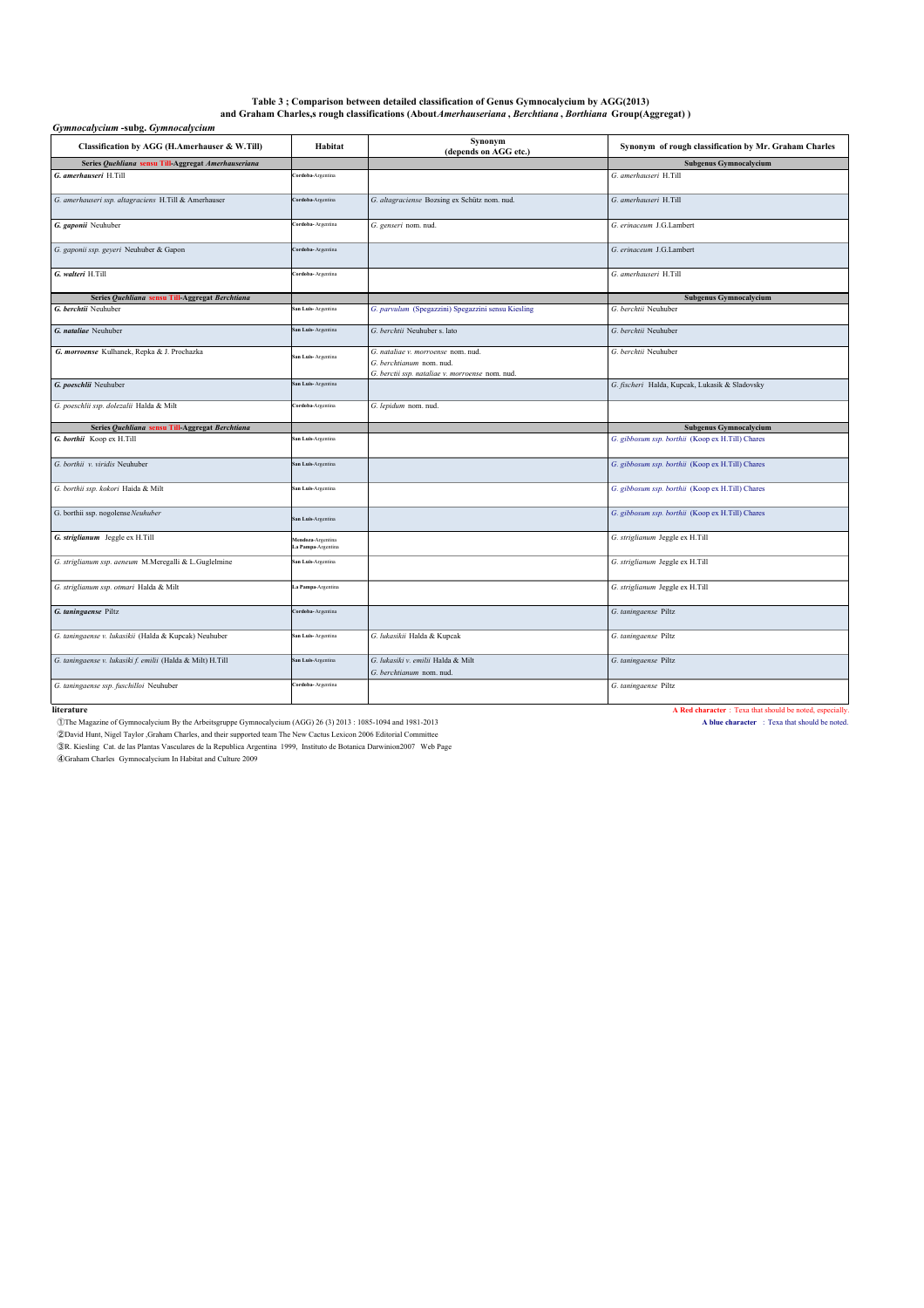### Table 3 ; Comparison between detailed classification of Genus Gymnocalycium by AGG(2013)<br>and Graham Charles,s rough classifications (About*Amerhauseriana , Berchtiana , Borthiana Grou*p(Aggregat) )

| Gymnocalycium -subg. Gymnocalycium                         |                                        |                                                                |                                                       |  |
|------------------------------------------------------------|----------------------------------------|----------------------------------------------------------------|-------------------------------------------------------|--|
| Classification by AGG (H.Amerhauser & W.Till)              | Habitat                                | Synonym<br>(depends on AGG etc.)                               | Synonym of rough classification by Mr. Graham Charles |  |
| Series Quehliana sensu Till-Aggregat Amerhauseriana        |                                        |                                                                | <b>Subgenus Gymnocalycium</b>                         |  |
| G. amerhauseri H.Till                                      | ordoba-Argentina                       |                                                                | G. amerhauseri H.Till                                 |  |
| G. amerhauseri ssp. altagraciens H.Till & Amerhauser       | Cordoba-Argentina                      | G. altagraciense Bozsing ex Schütz nom. nud.                   | G. amerhauseri H.Till                                 |  |
| G. gaponii Neuhuber                                        | <b>Cordoba-Argentina</b>               | G. genseri nom. nud.                                           | G. erinaceum J.G.Lambert                              |  |
| G. gaponii ssp. geyeri Neuhuber & Gapon                    | Cordoba-Argentina                      |                                                                | G. erinaceum J.G.Lambert                              |  |
| G. walteri H.Till                                          | <b>ordoba-Argentina</b>                |                                                                | G. amerhauseri H.Till                                 |  |
| Series Quehliana sensu Till-Aggregat Berchtiana            |                                        |                                                                | Subgenus Gymnocalycium                                |  |
| G. berchtii Neuhuber                                       | San Luis-Argentina                     | G. parvulum (Spegazzini) Spegazzini sensu Kiesling             | G. berchtii Neuhuber                                  |  |
| G. nataliae Neuhuber                                       | San Luis-Argentina                     | G. berchtii Neuhuber s. lato                                   | G. berchtii Neuhuber                                  |  |
| G. morroense Kulhanek, Repka & J. Prochazka                | San Luis-Argentina                     | G. nataliae v. morroense nom. nud.                             | G. berchtii Neuhuber                                  |  |
|                                                            |                                        | G. berchtianum nom. nud.                                       |                                                       |  |
| G. poeschlii Neuhuber                                      | San Luis-Argentina                     | G. berctii ssp. nataliae v. morroense nom. nud.                | G. fischeri Halda, Kupcak, Lukasik & Sladovsky        |  |
| G. poeschlii ssp. dolezalii Halda & Milt                   | Cordoba-Argentina                      | G. lepidum nom. nud.                                           |                                                       |  |
| Series Quehliana sensu Till-Aggregat Berchtiana            |                                        |                                                                | <b>Subgenus Gymnocalycium</b>                         |  |
| G. borthii Koop ex H.Till                                  | an Luis-Argentina                      |                                                                | G. gibbosum ssp. borthii (Koop ex H.Till) Chares      |  |
| G. borthii v. viridis Neuhuber                             | San Luis-Argentina                     |                                                                | G. gibbosum ssp. borthii (Koop ex H.Till) Chares      |  |
| G. borthii ssp. kokori Haida & Milt                        | San Luis-Argentina                     |                                                                | G. gibbosum ssp. borthii (Koop ex H.Till) Chares      |  |
| G. borthii ssp. nogolense Neuhuber                         | San Luis-Argentina                     |                                                                | G. gibbosum ssp. borthii (Koop ex H.Till) Chares      |  |
| G. striglianum Jeggle ex H.Till                            | Mendoza-Argentina<br>a Pampa-Argentina |                                                                | G. striglianum Jeggle ex H.Till                       |  |
| G. striglianum ssp. aeneum M.Meregalli & L.Guglelmine      | San Luis-Argentina                     |                                                                | G. striglianum Jeggle ex H.Till                       |  |
| G. striglianum ssp. otmari Halda & Milt                    | .a Pampa-Argentina                     |                                                                | G. striglianum Jeggle ex H.Till                       |  |
| G. taningaense Piltz                                       | <b>Cordoba-Argentina</b>               |                                                                | G. taningaense Piltz                                  |  |
| G. taningaense v. lukasikii (Halda & Kupcak) Neuhuber      | San Luis-Argentina                     | G. lukasikii Halda & Kupcak                                    | G. taningaense Piltz                                  |  |
| G. taningaense v. lukasiki f. emilii (Halda & Milt) H.Till | San Luis-Argentina                     | G. lukasiki v. emilii Halda & Milt<br>G. berchtianum nom. nud. | G. taningaense Piltz                                  |  |
|                                                            |                                        |                                                                |                                                       |  |

**Exercise 1998**<br> **Exercise 2008** Cymnocalyeium By the Arbeitsgruppe Gymnocalycium (AGG) 26 (3) 2013 : 1085-1094 and 1981-2013<br> **A Red character : Texa that should be noted,**<br> **CON** Straing Cat, de las Plantas Vasculares de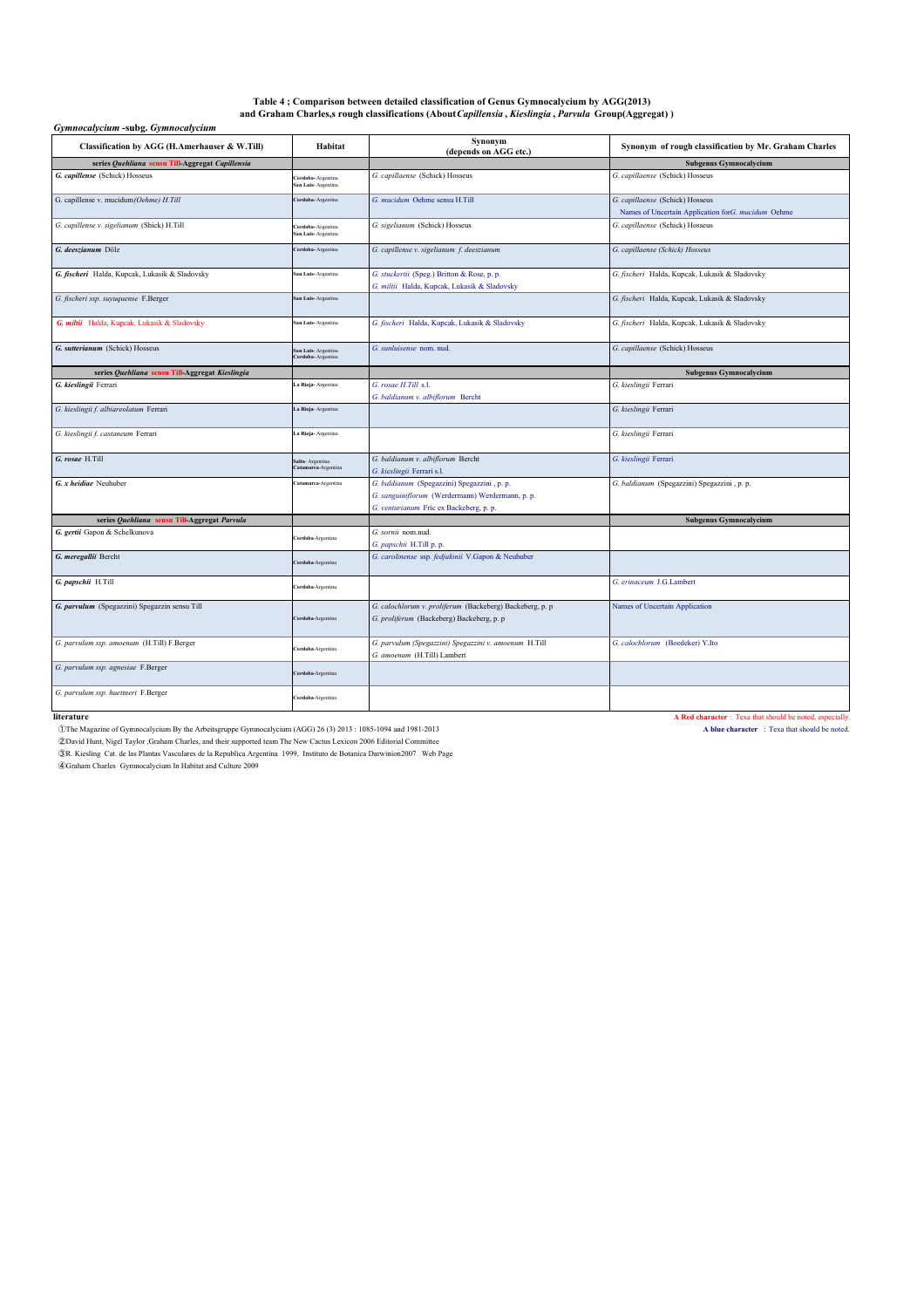## Table 4 ; Comparison between detailed classification of Genus Gymnocalycium by AGG(2013)<br>and Graham Charles,s rough classifications (About*Capillensia , Kieslingia , Parvula G*roup(Aggregat) )

| Gymnocalycium -subg. Gymnocalycium               |                                         |                                                                                                                                             |                                                                                       |
|--------------------------------------------------|-----------------------------------------|---------------------------------------------------------------------------------------------------------------------------------------------|---------------------------------------------------------------------------------------|
| Classification by AGG (H.Amerhauser & W.Till)    | Habitat                                 | Synonym<br>(depends on AGG etc.)                                                                                                            | Synonym of rough classification by Mr. Graham Charles                                 |
| series Quehliana sensu Till-Aggregat Capillensia |                                         |                                                                                                                                             | Subgenus Gymnocalycium                                                                |
| G. capillense (Schick) Hosseus                   | Cordoba-Argentina<br>San Luis-Argentina | G. capillaense (Schick) Hosseus                                                                                                             | G. capillaense (Schick) Hosseus                                                       |
| G. capillense v. mucidum(Oehme) H.Till           | Cordoba-Argentina                       | G. mucidum Oehme sensu H.Till                                                                                                               | G. capillaense (Schick) Hosseus<br>Names of Uncertain Application forG. mucidum Oehme |
| G. capillense v. sigelianum (Shick) H.Till       | ordoba-Argentina<br>ian Luis-Argentina  | G. sigelianum (Schick) Hosseus                                                                                                              | G. capillaense (Schick) Hosseus                                                       |
| G. deeszianum Dölz                               | Cordoba-Argentina                       | G. capillense v. sigelianum f. deeszianum                                                                                                   | G. capillaense (Schick) Hosseus                                                       |
| G. fischeri Halda, Kupcak, Lukasik & Sladovsky   | San Luis-Argentina                      | G. stuckertii (Speg.) Britton & Rose, p. p.<br>G. miltii Halda, Kupcak, Lukasik & Sladovsky                                                 | G. fischeri Halda, Kupcak, Lukasik & Sladovsky                                        |
| G. fischeri ssp. suyuquense F.Berger             | ian Luis-Argentina                      |                                                                                                                                             | G. fischeri Halda, Kupcak, Lukasik & Sladovsky                                        |
| G. miltii Halda, Kupcak, Lukasik & Sladovsky     | San Luis-Argentina                      | G. fischeri Halda, Kupcak, Lukasik & Sladovsky                                                                                              | G. fischeri Halda, Kupcak, Lukasik & Sladovsky                                        |
| G. sutterianum (Schick) Hosseus                  | San Luis-Argentina<br>ordoba-Argentina  | G. sunluisense nom. nud.                                                                                                                    | G. capillaense (Schick) Hosseus                                                       |
| series Quehliana sensu Till-Aggregat Kieslingia  |                                         |                                                                                                                                             | Subgenus Gymnocalycium                                                                |
| G. kieslingii Ferrari                            | a Rioja-Argentina                       | G. rosae H.Till s.l.<br>G. baldianum v. albiflorum Bercht                                                                                   | G. kieslingii Ferrari                                                                 |
| G. kieslingii f. albiareolatum Ferrari           | a Rioja- Argentina                      |                                                                                                                                             | G. kieslingii Ferrari                                                                 |
| G. kieslingii f. castaneum Ferrari               | .a Rioja- Argentina                     |                                                                                                                                             | G. kieslingii Ferrari                                                                 |
| G. rosae H.Till                                  | Salta- Argentina<br>atamarca-Argentina  | G. baldianum v. albiflorum Bercht<br>G. kieslingii Ferrari s.l.                                                                             | G. kieslingii Ferrari                                                                 |
| G. x heidiae Neuhuber                            | atamarca-Argentina                      | G. baldianum (Spegazzini) Spegazzini , p. p.<br>G. sanguiniflorum (Werdermann) Werdermann, p. p.<br>G. venturianum Fric ex Backeberg, p. p. | G. baldianum (Spegazzini) Spegazzini , p. p.                                          |
| series Quehliana sensu Till-Aggregat Parvula     |                                         |                                                                                                                                             | Subgenus Gymnocalycium                                                                |
| G. gertii Gapon & Schelkunova                    | <b>Cordoba-Argentina</b>                | G. sornii nom.nud.<br>G. papschii H.Till p. p.                                                                                              |                                                                                       |
| G. meregallii Bercht                             | Cordoba-Argentina                       | G. carolinense ssp. fedjukinii V.Gapon & Neuhuber                                                                                           |                                                                                       |
| G. papschii H.Till                               | Cordoba-Argentina                       |                                                                                                                                             | G. erinaceum J.G.Lambert                                                              |
| G. parvulum (Spegazzini) Spegazzin sensu Till    | Cordoba-Argentina                       | G. calochlorum v. proliferum (Backeberg) Backeberg, p. p<br>G. proliferum (Backeberg) Backeberg, p. p                                       | Names of Uncertain Application                                                        |
| G. parvulum ssp. amoenum (H.Till) F.Berger       | Cordoba-Argentina                       | G. parvulum (Spegazzini) Spegazzini v. amoenum H.Till<br>G. amoenum (H.Till) Lambert                                                        | G. calochlorum (Boedeker) Y.Ito                                                       |
| G. parvulum ssp. agnesiae F.Berger               | Cordoba-Argentina                       |                                                                                                                                             |                                                                                       |
| G. parvulum ssp. huettneri F.Berger              | Cordoba-Argentina                       |                                                                                                                                             |                                                                                       |

**literature A Red character : Texa that should be noted, especially.**<br> **1999** The Magazine of Gymnocalycium By the Arbeitsgruppe Gymnocalycium (AGG) 26 (3) 2013 : 1085-1094 and 1981-2013 ①The Magazine of Gymnocalycium By the Arbeitsgruppe Gymnocalycium (AGG) 26 (3) 2013 : 1085-1094 and 1981-2013 **A blue character** : Texa that should be noted.

©David Hunt, Nigel Taylor ,Graham Charles, and their supported team The New Cactus Lexicon 2006 Editorial Committee<br>©R. Kiesling Cat. de las Plantas Vasculares de la Republica Argentina 1999, Instituto de Botanica Darwinio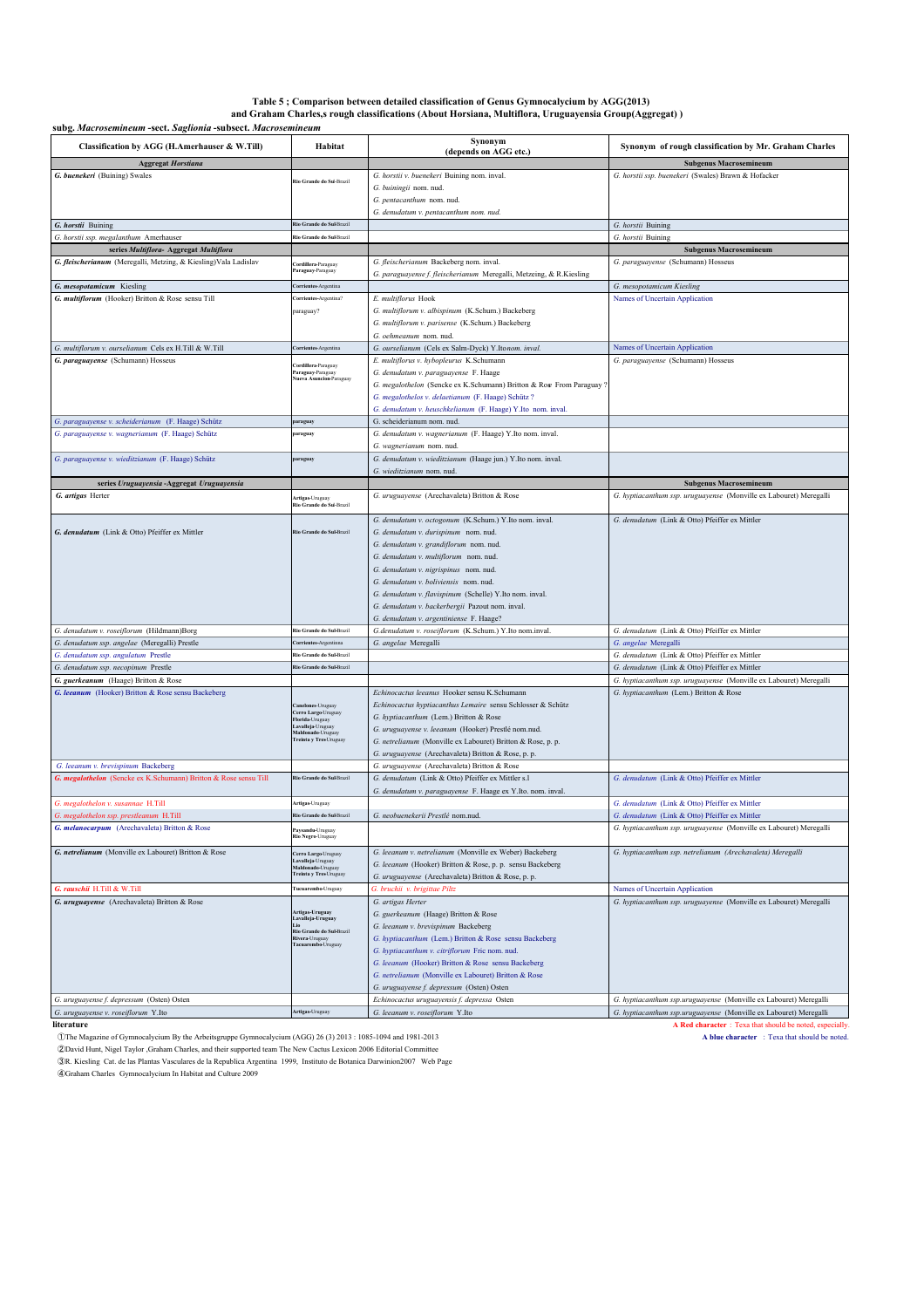# **Table 5 ; Comparison between detailed classification of Genus Gymnocalycium by AGG(2013) and Graham Charles,s rough classifications (About Horsiana, Multiflora, Uruguayensia Group(Aggregat) )**

**subg.** *Macrosemineum* **-sect.** *Saglionia* **-subsect.** *Macrosemineum*

| subg. Macrosemineum -sect. Saglionia -subsect. Macrosemineum<br>Classification by AGG (H.Amerhauser & W.Till) | Habitat                                              | Synonym<br>(depends on AGG etc.)                                                                    | Synonym of rough classification by Mr. Graham Charles                                                                |
|---------------------------------------------------------------------------------------------------------------|------------------------------------------------------|-----------------------------------------------------------------------------------------------------|----------------------------------------------------------------------------------------------------------------------|
| <b>Aggregat Horstiana</b>                                                                                     |                                                      |                                                                                                     | <b>Subgenus Macrosemineum</b>                                                                                        |
| G. buenekeri (Buining) Swales                                                                                 |                                                      | G. horstii v. buenekeri Buining nom. inval.                                                         | G. horstii ssp. buenekeri (Swales) Brawn & Hofacker                                                                  |
|                                                                                                               | Rio Grande do Sul-Brazil                             | G. buiningii nom. nud.                                                                              |                                                                                                                      |
|                                                                                                               |                                                      | G. pentacanthum nom. nud.                                                                           |                                                                                                                      |
|                                                                                                               |                                                      | G. denudatum v. pentacanthum nom. nud.                                                              |                                                                                                                      |
| G. horstii Buining                                                                                            | Rio Grande do Sul-Brazil<br>Rio Grande do Sul-Brazil |                                                                                                     | G. horstii Buining                                                                                                   |
| G. horstii ssp. megalanthum Amerhauser<br>series Multiflora- Aggregat Multiflora                              |                                                      |                                                                                                     | G. horstii Buining<br><b>Subgenus Macrosemineum</b>                                                                  |
| G. fleischerianum (Meregalli, Metzing, & Kiesling) Vala Ladislav                                              | Cordillera-Paraguay                                  | G. fleischerianum Backeberg nom. inval.                                                             | G. paraguayense (Schumann) Hosseus                                                                                   |
|                                                                                                               | Paraguay-Paraguay                                    | G. paraguayense f. fleischerianum Meregalli, Metzeing, & R. Kiesling                                |                                                                                                                      |
| G. mesopotamicum Kiesling                                                                                     | Corrientes-Argentina                                 |                                                                                                     | G. mesopotamicum Kiesling                                                                                            |
| G. multiflorum (Hooker) Britton & Rose sensu Till                                                             | Corrientes-Argentina?                                | E. multiflorus Hook                                                                                 | Names of Uncertain Application                                                                                       |
|                                                                                                               | paraguay?                                            | G. multiflorum v. albispinum (K.Schum.) Backeberg                                                   |                                                                                                                      |
|                                                                                                               |                                                      | G. multiflorum v. parisense (K.Schum.) Backeberg<br>G. oehmeanum nom. nud.                          |                                                                                                                      |
| G. multiflorum v. ourselianum Cels ex H.Till & W.Till                                                         | Corrientes-Argentina                                 | G. ourselianum (Cels ex Salm-Dyck) Y.Itonom. inval.                                                 | Names of Uncertain Application                                                                                       |
| G. paraguayense (Schumann) Hosseus                                                                            |                                                      | E. multiflorus v. hybopleurus K.Schumann                                                            | G. paraguayense (Schumann) Hosseus                                                                                   |
|                                                                                                               | <b>Cordillera-Paraguay</b><br>Paraguay-Paraguay      | G. denudatum v. paraguayense F. Haage                                                               |                                                                                                                      |
|                                                                                                               | <b>Nueva Asuncion-Paraguay</b>                       | G. megalothelon (Sencke ex K.Schumann) Britton & Row From Paraguay                                  |                                                                                                                      |
|                                                                                                               |                                                      | G. megalothelos v. delaetianum (F. Haage) Schütz ?                                                  |                                                                                                                      |
|                                                                                                               |                                                      | G. denudatum v. heuschkelianum (F. Haage) Y.Ito nom. inval.                                         |                                                                                                                      |
| G. paraguayense v. scheiderianum (F. Haage) Schütz<br>G. paraguayense v. wagnerianum (F. Haage) Schütz        | paraguay<br>paraguay                                 | G. scheiderianum nom. nud.<br>G. denudatum v. wagnerianum (F. Haage) Y.Ito nom. inval.              |                                                                                                                      |
|                                                                                                               |                                                      | G. wagnerianum nom. nud.                                                                            |                                                                                                                      |
| G. paraguayense v. wieditzianum (F. Haage) Schütz                                                             | paraguay                                             | G. denudatum v. wieditzianum (Haage jun.) Y.Ito nom. inval.                                         |                                                                                                                      |
|                                                                                                               |                                                      | G. wieditzianum nom. nud.                                                                           |                                                                                                                      |
| series Uruguayensia - Aggregat Uruguayensia                                                                   |                                                      |                                                                                                     | <b>Subgenus Macrosemineum</b>                                                                                        |
| G. artigas Herter                                                                                             | Artigas-Uruguay<br>Rio Grande do Sul-Brazil          | G. uruguayense (Arechavaleta) Britton & Rose                                                        | G. hyptiacanthum ssp. uruguayense (Monville ex Labouret) Meregalli                                                   |
|                                                                                                               |                                                      | G. denudatum v. octogonum (K.Schum.) Y.Ito nom. inval.                                              | G. denudatum (Link & Otto) Pfeiffer ex Mittler                                                                       |
| G. denudatum (Link & Otto) Pfeiffer ex Mittler                                                                | Rio Grande do Sul-Brazil                             | G. denudatum v. durispinum nom. nud.                                                                |                                                                                                                      |
|                                                                                                               |                                                      | G. denudatum v. grandiflorum nom. nud.                                                              |                                                                                                                      |
|                                                                                                               |                                                      | G. denudatum v. multiflorum nom. nud.                                                               |                                                                                                                      |
|                                                                                                               |                                                      | G. denudatum v. nigrispinus nom. nud.<br>G. denudatum v. boliviensis nom. nud.                      |                                                                                                                      |
|                                                                                                               |                                                      | G. denudatum v. flavispinum (Schelle) Y.Ito nom. inval.                                             |                                                                                                                      |
|                                                                                                               |                                                      | G. denudatum v. backerbergii Pazout nom. inval.                                                     |                                                                                                                      |
|                                                                                                               |                                                      | G. denudatum v. argentiniense F. Haage?                                                             |                                                                                                                      |
| G. denudatum v. roseiflorum (Hildmann)Borg                                                                    | Rio Grande do Sul-Brazil                             | G.denudatum v. roseiflorum (K.Schum.) Y.Ito nom.inval.                                              | G. denudatum (Link & Otto) Pfeiffer ex Mittler                                                                       |
| G. denudatum ssp. angelae (Meregalli) Prestle                                                                 | Corrientes-Argentinna                                | G. angelae Meregalli                                                                                | G. angelae Meregalli                                                                                                 |
| G. denudatum ssp. angulatum Prestle                                                                           | Rio Grande do Sul-Brazil<br>Rio Grande do Sul-Brazil |                                                                                                     | G. denudatum (Link & Otto) Pfeiffer ex Mittler                                                                       |
| G. denudatum ssp. necopinum Prestle<br>G. guerkeanum (Haage) Britton & Rose                                   |                                                      |                                                                                                     | G. denudatum (Link & Otto) Pfeiffer ex Mittler<br>G. hyptiacanthum ssp. uruguayense (Monville ex Labouret) Meregalli |
| G. leeanum (Hooker) Britton & Rose sensu Backeberg                                                            |                                                      | Echinocactus leeanus Hooker sensu K.Schumann                                                        | G. hyptiacanthum (Lem.) Britton & Rose                                                                               |
|                                                                                                               | Canelones-Uruguay                                    | Echinocactus hyptiacanthus Lemaire sensu Schlosser & Schütz                                         |                                                                                                                      |
|                                                                                                               | 'erro Largo-Uruguay<br>Torida-Uruguay                | G. hyptiacanthum (Lem.) Britton & Rose                                                              |                                                                                                                      |
|                                                                                                               | avalleja-Uruguay<br>Maldonado-Uruguay                | G. uruguayense v. leeanum (Hooker) Prestlé nom.nud.                                                 |                                                                                                                      |
|                                                                                                               | Freinta y TresUrugua                                 | G. netrelianum (Monville ex Labouret) Britton & Rose, p. p.                                         |                                                                                                                      |
|                                                                                                               |                                                      | G. uruguayense (Arechavaleta) Britton & Rose, p. p.<br>G. uruguayense (Arechavaleta) Britton & Rose |                                                                                                                      |
| G. leeanum v. brevispinum Backeberg<br>G. megalothelon (Sencke ex K.Schumann) Britton & Rose sensu Till       | Rio Grande do Sul-Brazil                             | G. denudatum (Link & Otto) Pfeiffer ex Mittler s.l                                                  | G. denudatum (Link & Otto) Pfeiffer ex Mittler                                                                       |
|                                                                                                               |                                                      | G. denudatum v. paraguayense F. Haage ex Y.Ito. nom. inval.                                         |                                                                                                                      |
| G. megalothelon v. susannae H.Till                                                                            | Artigas-Uruguay<br>Rio Grande do Sul-Brazil          |                                                                                                     | G. denudatum (Link & Otto) Pfeiffer ex Mittler                                                                       |
| G. megalothelon ssp. prestleanum H.Till<br><b>G. melanocarpum</b> (Arechavaleta) Britton & Rose               |                                                      | G. neobuenekerii Prestlé nom.nud.                                                                   | G. denudatum (Link & Otto) Pfeiffer ex Mittler<br>G. hyptiacanthum ssp. uruguayense (Monville ex Labouret) Meregalli |
|                                                                                                               | Paysandu-Uruguay<br>Rio Negro-Uruguay                |                                                                                                     |                                                                                                                      |
| G. netrelianum (Monville ex Labouret) Britton & Rose                                                          | Cerro Largo-Uruguay<br>.avalleja-Uruguay             | G. leeanum v. netrelianum (Monville ex Weber) Backeberg                                             | G. hyptiacanthum ssp. netrelianum (Arechavaleta) Meregalli                                                           |
|                                                                                                               | Maldonado-Uruguay<br>Freinta y TresUruguay           | G. leeanum (Hooker) Britton & Rose, p. p. sensu Backeberg                                           |                                                                                                                      |
| G. rauschii H.Till & W.Till                                                                                   | Fucuarembo-Uruguay                                   | G. uruguayense (Arechavaleta) Britton & Rose, p. p.<br>G. bruchii v. brigittae Piltz                | Names of Uncertain Application                                                                                       |
| G. uruguayense (Arechavaleta) Britton & Rose                                                                  |                                                      | G. artigas Herter                                                                                   | G. hyptiacanthum ssp. uruguayense (Monville ex Labouret) Meregalli                                                   |
|                                                                                                               | Artigas-Uruguay                                      | G. guerkeanum (Haage) Britton & Rose                                                                |                                                                                                                      |
|                                                                                                               | Lavalleja-Uruguay<br>Rio Grande do Sul-Brazil        | G. leeanum v. brevispinum Backeberg                                                                 |                                                                                                                      |
|                                                                                                               | Rivera-Uruguay<br>Facuarembo-Uruguay                 | G. hyptiacanthum (Lem.) Britton & Rose sensu Backeberg                                              |                                                                                                                      |
|                                                                                                               |                                                      | G. hyptiacanthum v. citriflorum Fric nom. nud.                                                      |                                                                                                                      |
|                                                                                                               |                                                      | G. leeanum (Hooker) Britton & Rose sensu Backeberg                                                  |                                                                                                                      |
|                                                                                                               |                                                      | G. netrelianum (Monville ex Labouret) Britton & Rose                                                |                                                                                                                      |
| G. uruguayense f. depressum (Osten) Osten                                                                     |                                                      | G. uruguayense f. depressum (Osten) Osten<br>Echinocactus uruguayensis f. depressa Osten            | G. hyptiacanthum ssp.uruguayense (Monville ex Labouret) Meregalli                                                    |
| G. uruguayense v. roseiflorum Y.Ito                                                                           | Artigas-Uruguay                                      | G. leeanum v. roseiflorum Y.Ito                                                                     | G. hyptiacanthum ssp.uruguayense (Monville ex Labouret) Meregalli                                                    |
| literature                                                                                                    |                                                      |                                                                                                     | A Red character: Texa that should be noted, especially                                                               |

①The Magazine of Gymnocalycium By the Arbeitsgruppe Gymnocalycium (AGG) 26 (3) 2013 : 1085-1094 and 1981-2013 **A blue character** : Texa that should be noted.

2 David Hunt, Nigel Taylor ,Graham Charles, and their supported team The New Cactus Lexicon 2006 Editorial Committee<br>
∂R. Kiesling Cat. de las Plantas Vasculares de la Republica Argentina 1999, Instituto de Botanica Darwi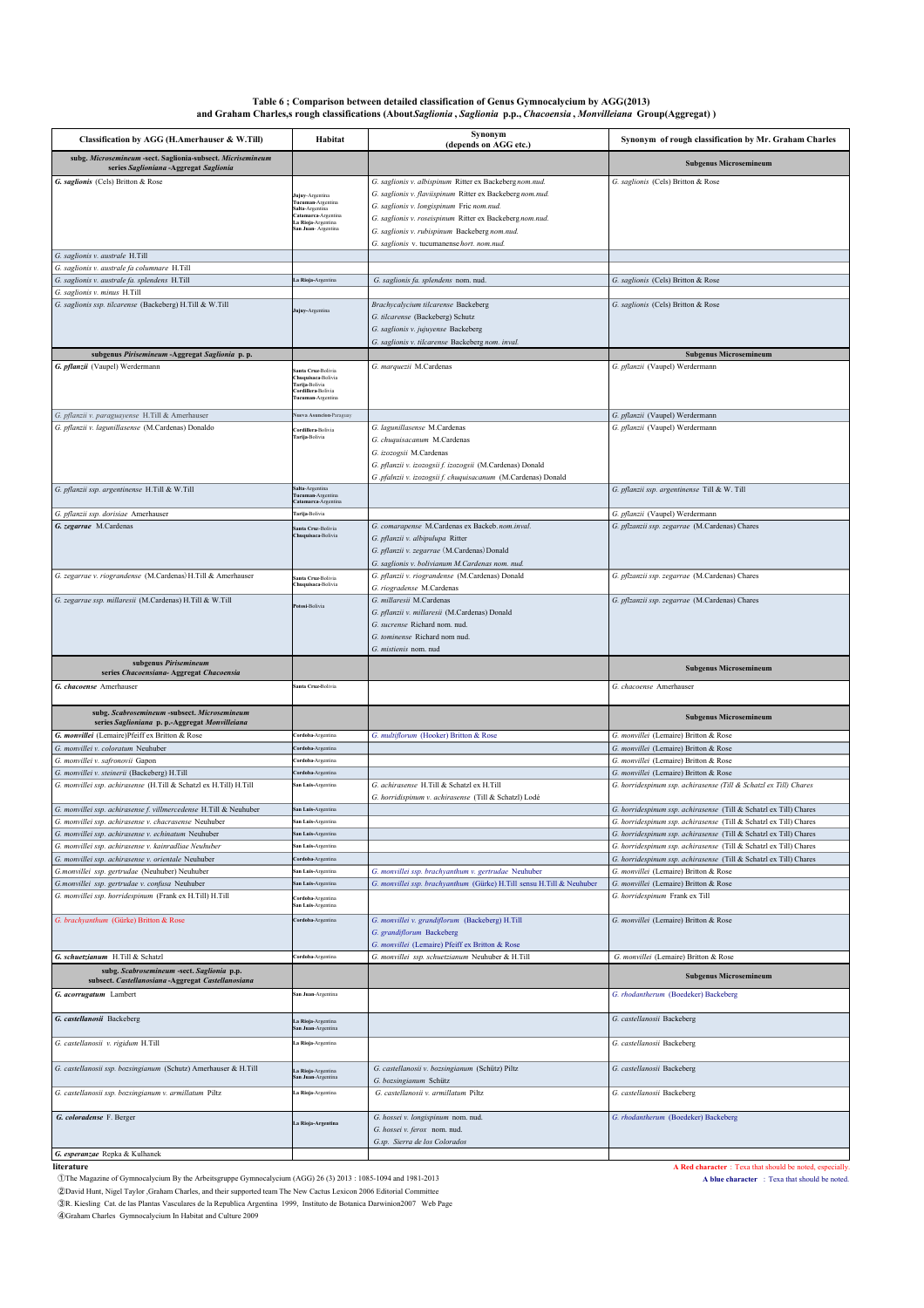| Table 6; Comparison between detailed classification of Genus Gymnocalycium by AGG(2013)                                |
|------------------------------------------------------------------------------------------------------------------------|
| and Graham Charles, srough classifications (About Saglionia, Saglionia p.p., Chacoensia, Monvilleiana Group(Aggregat)) |

| Classification by AGG (H.Amerhauser & W.Till)                                                                | Habitat                                                                                                                 | Synonym                                                                                                                                                                                                                                                                                                                      | Synonym of rough classification by Mr. Graham Charles                                                                                  |
|--------------------------------------------------------------------------------------------------------------|-------------------------------------------------------------------------------------------------------------------------|------------------------------------------------------------------------------------------------------------------------------------------------------------------------------------------------------------------------------------------------------------------------------------------------------------------------------|----------------------------------------------------------------------------------------------------------------------------------------|
| subg. Microsemineum -sect. Saglionia-subsect. Micrisemineum                                                  |                                                                                                                         | (depends on AGG etc.)                                                                                                                                                                                                                                                                                                        |                                                                                                                                        |
| series Saglioniana - Aggregat Saglionia                                                                      |                                                                                                                         |                                                                                                                                                                                                                                                                                                                              | <b>Subgenus Microsemineum</b>                                                                                                          |
| G. saglionis (Cels) Britton & Rose                                                                           | ujuy-Argentina<br>Fucuman-Argentina<br>salta-Argentina<br>Catamarca-Argentina<br>a Rioja-Argentina<br>an Juan-Argentina | G. saglionis v. albispinum Ritter ex Backeberg nom.nud.<br>G. saglionis v. flaviispinum Ritter ex Backeberg nom.nud.<br>G. saglionis v. longispinum Fric nom.nud.<br>G. saglionis v. roseispinum Ritter ex Backeberg nom.nud.<br>G. saglionis v. rubispinum Backeberg nom.nud.<br>G. saglionis v. tucumanense hort. nom.nud. | G. saglionis (Cels) Britton & Rose                                                                                                     |
| G. saglionis v. australe H.Till                                                                              |                                                                                                                         |                                                                                                                                                                                                                                                                                                                              |                                                                                                                                        |
| G. saglionis v. australe fa columnare H.Till                                                                 |                                                                                                                         |                                                                                                                                                                                                                                                                                                                              |                                                                                                                                        |
| G. saglionis v. australe fa. splendens H.Till<br>G. saglionis v. minus H.Till                                | La Rioja-Argentina                                                                                                      | G. saglionis fa. splendens nom. nud.                                                                                                                                                                                                                                                                                         | G. saglionis (Cels) Britton & Rose                                                                                                     |
| G. saglionis ssp. tilcarense (Backeberg) H.Till & W.Till                                                     | Jujuy-Argentina                                                                                                         | Brachycalycium tilcarense Backeberg<br>G. tilcarense (Backeberg) Schutz<br>G. saglionis v. jujuyense Backeberg<br>G. saglionis v. tilcarense Backeberg nom. inval.                                                                                                                                                           | G. saglionis (Cels) Britton & Rose                                                                                                     |
| subgenus Pirisemineum - Aggregat Saglionia p.p.                                                              |                                                                                                                         |                                                                                                                                                                                                                                                                                                                              | <b>Subgenus Microsemineum</b>                                                                                                          |
| G. pflanzii (Vaupel) Werdermann                                                                              | nta Cruz-Bolivia<br>huquisaca-Bolivia<br>farija-Bolivia<br>ordillera-Bolivia<br>ucuman-Argentina                        | G. marquezii M.Cardenas                                                                                                                                                                                                                                                                                                      | G. pflanzii (Vaupel) Werdermann                                                                                                        |
| G. pflanzii v. paraguayense H.Till & Amerhauser                                                              | lueva Asuncion-Paraguay                                                                                                 |                                                                                                                                                                                                                                                                                                                              | G. pflanzii (Vaupel) Werdermann                                                                                                        |
| G. pflanzii v. lagunillasense (M.Cardenas) Donaldo                                                           | Cordillera-Bolivia<br>farija-Bolivia                                                                                    | G. lagunillasense M.Cardenas<br>G. chuquisacanum M.Cardenas<br>G. izozogsii M.Cardenas<br>G. pflanzii v. izozogsii f. izozogsii (M.Cardenas) Donald<br>G .pfalnzii v. izozogsii f. chuquisacanum (M.Cardenas) Donald                                                                                                         | G. pflanzii (Vaupel) Werdermann                                                                                                        |
| G. pflanzii ssp. argentinense H.Till & W.Till                                                                | alta-Argentina<br>Tucuman-Argentina<br>atamarca-Argentina                                                               |                                                                                                                                                                                                                                                                                                                              | G. pflanzii ssp. argentinense Till & W. Till                                                                                           |
| G. pflanzii ssp. dorisiae Amerhauser                                                                         | Tarija-Bolivia                                                                                                          |                                                                                                                                                                                                                                                                                                                              | G. pflanzii (Vaupel) Werdermann                                                                                                        |
| G. zegarrae M.Cardenas                                                                                       | Santa Cruz-Bolivia<br>huquisaca-Bolivia                                                                                 | G. comarapense M.Cardenas ex Backeb. nom.inval.<br>G. pflanzii v. albipulupa Ritter<br>G. pflanzii v. zegarrae (M.Cardenas) Donald<br>G. saglionis v. bolivianum M.Cardenas nom. nud.                                                                                                                                        | G. pflzanzii ssp. zegarrae (M.Cardenas) Chares                                                                                         |
| G. zegarrae v. riograndense (M.Cardenas) H.Till & Amerhauser                                                 | anta Cruz-Bolivia<br>huquisaca-Bolivia                                                                                  | G. pflanzii v. riograndense (M.Cardenas) Donald<br>G. riogradense M.Cardenas                                                                                                                                                                                                                                                 | G. pflzanzii ssp. zegarrae (M.Cardenas) Chares                                                                                         |
| G. zegarrae ssp. millaresii (M.Cardenas) H.Till & W.Till                                                     | otosi-Bolivia                                                                                                           | G. millaresii M.Cardenas<br>G. pflanzii v. millaresii (M.Cardenas) Donald<br>G. sucrense Richard nom. nud<br>G. tominense Richard nom nud.<br>G. mistienis nom. nud                                                                                                                                                          | G. pflzanzii ssp. zegarrae (M.Cardenas) Chares                                                                                         |
| subgenus Pirisemineum<br>series Chacoensiana- Aggregat Chacoensia                                            |                                                                                                                         |                                                                                                                                                                                                                                                                                                                              | <b>Subgenus Microsemineum</b>                                                                                                          |
| G. chacoense Amerhauser                                                                                      | santa Cruz-Bolivia                                                                                                      |                                                                                                                                                                                                                                                                                                                              | G. chacoense Amerhauser                                                                                                                |
| subg. Scabrosemineum -subsect. Microsemineum<br>series Saglioniana p. p.-Aggregat Monvilleiana               |                                                                                                                         |                                                                                                                                                                                                                                                                                                                              | <b>Subgenus Microsemineum</b>                                                                                                          |
| G. monvillei (Lemaire)Pfeiff ex Britton & Rose                                                               | Cordoba-Argentina                                                                                                       | G. multiflorum (Hooker) Britton & Rose                                                                                                                                                                                                                                                                                       | G. monvillei (Lemaire) Britton & Rose                                                                                                  |
| G. monvillei v. coloratum Neuhuber<br>G. monvillei v. safronovii Gapon                                       | <b>`ordoba-Argentina</b><br>ordoba-Argentina                                                                            |                                                                                                                                                                                                                                                                                                                              | G. monvillei (Lemaire) Britton & Rose<br>G. monvillei (Lemaire) Britton & Rose                                                         |
| G. monvillei v. steinerii (Backeberg) H.Till                                                                 | Cordoba-Argentina                                                                                                       |                                                                                                                                                                                                                                                                                                                              | G. monvillei (Lemaire) Britton & Rose                                                                                                  |
| G. monvillei ssp. achirasense (H.Till & Schatzl ex H.Till) H.Till                                            | san Luis-Argentina                                                                                                      | G. achirasense H.Till & Schatzl ex H.Till<br>G. horridispinum v. achirasense (Till & Schatzl) Lodé                                                                                                                                                                                                                           | G. horridespinum ssp. achirasense (Till & Schatzl ex Till) Chares                                                                      |
| G. monvillei ssp. achirasense f. villmercedense H.Till & Neuhuber                                            | an Luis-Argentina                                                                                                       |                                                                                                                                                                                                                                                                                                                              | G. horridespinum ssp. achirasense (Till & Schatzl ex Till) Chares                                                                      |
| G. monvillei ssp. achirasense v. chacrasense Neuhuber                                                        |                                                                                                                         |                                                                                                                                                                                                                                                                                                                              | G. horridespinum ssp. achirasense (Till & Schatzl ex Till) Chares                                                                      |
| G. monvillei ssp. achirasense v. echinatum Neuhuber                                                          | San Luis-Argentina                                                                                                      |                                                                                                                                                                                                                                                                                                                              | G. horridespinum ssp. achirasense (Till & Schatzl ex Till) Chares                                                                      |
| G. monvillei ssp. achirasense v. kainradliae Neuhuber<br>G. monvillei ssp. achirasense v. orientale Neuhuber | an Luis-Argentina<br>Cordoba-Argentina                                                                                  |                                                                                                                                                                                                                                                                                                                              | G. horridespinum ssp. achirasense (Till & Schatzl ex Till) Chares<br>G. horridespinum ssp. achirasense (Till & Schatzl ex Till) Chares |
| G.monvillei ssp. gertrudae (Neuhuber) Neuhuber                                                               | san Luis-Argentina                                                                                                      | G. monvillei ssp. brachyanthum v. gertrudae Neuhuber                                                                                                                                                                                                                                                                         | G. monvillei (Lemaire) Britton & Rose                                                                                                  |
| G.monvillei ssp. gertrudae v. confusa Neuhuber                                                               | an Luis-Argentina                                                                                                       | G. monvillei ssp. brachyanthum (Gürke) H.Till sensu H.Till & Neuhuber                                                                                                                                                                                                                                                        | G. monvillei (Lemaire) Britton & Rose                                                                                                  |
| G. monvillei ssp. horridespinum (Frank ex H.Till) H.Till                                                     | <b>ordoba-Argentina</b><br>an Luis-Argentina                                                                            |                                                                                                                                                                                                                                                                                                                              | G. horridespinum Frank ex Till                                                                                                         |
| G. brachyanthum (Gürke) Britton & Rose                                                                       | Cordoba-Argentina                                                                                                       | G. monvillei v. grandiflorum (Backeberg) H.Till<br>G. grandiflorum Backeberg<br>G. monvillei (Lemaire) Pfeiff ex Britton & Rose                                                                                                                                                                                              | G. monvillei (Lemaire) Britton & Rose                                                                                                  |
| G. schuetzianum H.Till & Schatzl                                                                             | Cordoba-Argentina                                                                                                       | G. monvillei ssp. schuetzianum Neuhuber & H.Till                                                                                                                                                                                                                                                                             | G. monvillei (Lemaire) Britton & Rose                                                                                                  |
| subg. Scabrosemineum -sect. Saglionia p.p.<br>subsect. Castellanosiana - Aggregat Castellanosiana            |                                                                                                                         |                                                                                                                                                                                                                                                                                                                              | <b>Subgenus Microsemineum</b>                                                                                                          |
| G. acorrugatum Lambert                                                                                       | san Juan-Argentina                                                                                                      |                                                                                                                                                                                                                                                                                                                              | G. rhodantherum (Boedeker) Backeberg                                                                                                   |
| G. castellanosii Backeberg                                                                                   | .a Rioja-Argentina<br>an Juan-Argentina                                                                                 |                                                                                                                                                                                                                                                                                                                              | G. castellanosii Backeberg                                                                                                             |
| G. castellanosii v. rigidum H.Till                                                                           | La Rioja-Argentina                                                                                                      |                                                                                                                                                                                                                                                                                                                              | G. castellanosii Backeberg                                                                                                             |
| G. castellanosii ssp. bozsingianum (Schutz) Amerhauser & H.Till                                              | a Rioja-Argentina<br>an Juan-Argentina                                                                                  | G. castellanosii v. bozsingianum (Schütz) Piltz<br>G. bozsingianum Schütz                                                                                                                                                                                                                                                    | G. castellanosii Backeberg                                                                                                             |
| G. castellanosii ssp. bozsingianum v. armillatum Piltz                                                       | .a Rioja-Argentina                                                                                                      | G. castellanosii v. armillatum Piltz                                                                                                                                                                                                                                                                                         | G. castellanosii Backeberg                                                                                                             |
| G. coloradense F. Berger                                                                                     | a Rioja-Argentina                                                                                                       | G. hossei v. longispinum nom. nud.<br>G. hossei v. ferox nom. nud.<br>G.sp. Sierra de los Colorados                                                                                                                                                                                                                          | G. rhodantherum (Boedeker) Backeberg                                                                                                   |
| G. esperanzae Repka & Kulhanek                                                                               |                                                                                                                         |                                                                                                                                                                                                                                                                                                                              |                                                                                                                                        |

**a** Red character : Texa that should be noted, especially.<br> **literature A Red character : Texa that should be noted, especially.**<br> **D** The Magazine of Gymnocalycium By the Arbeitsgruppe Gymnocalycium (AGG) 26 (3) 2013 : ①The Magazine of Gymnocalycium By the Arbeitsgruppe Gymnocalycium (AGG) 26 (3) 2013 : 1085-1094 and 1981-2013 **A blue character** : Texa that should be noted.

2 David Hunt, Nigel Taylor ,Graham Charles, and their supported team The New Cactus Lexicon 2006 Editorial Committee<br>
∂R. Kiesling Cat. de las Plantas Vasculares de la Republica Argentina 1999, Instituto de Botanica Darwi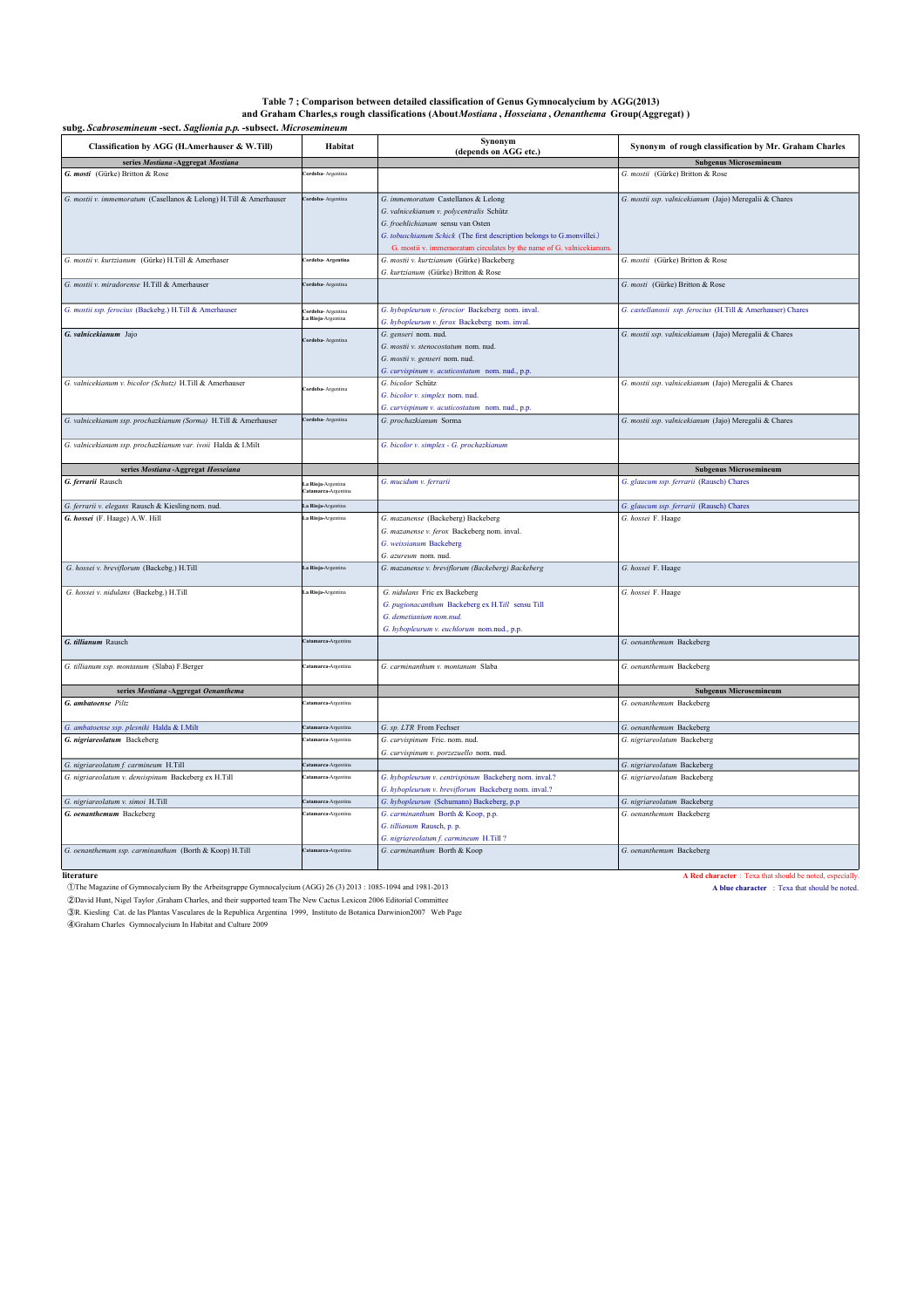### **subg.** *Scabrosemineum* **-sect.** *Saglionia p.p.* **-subsect.** *Microsemineum* **Table 7 ; Comparison between detailed classification of Genus Gymnocalycium by AGG(2013) and Graham Charles,s rough classifications (About** *Mostiana* **,** *Hosseiana* **,** *Oenanthema* **Group(Aggregat) )**

| Classification by AGG (H.Amerhauser & W.Till)                      | Habitat                                         | Synonym<br>(depends on AGG etc.)                                                                                                                                                               | Synonym of rough classification by Mr. Graham Charles       |
|--------------------------------------------------------------------|-------------------------------------------------|------------------------------------------------------------------------------------------------------------------------------------------------------------------------------------------------|-------------------------------------------------------------|
| series Mostiana-Aggregat Mostiana                                  |                                                 |                                                                                                                                                                                                | <b>Subgenus Microsemineum</b>                               |
| G. mosti (Gürke) Britton & Rose                                    | <b>Cordoba-Argentina</b>                        |                                                                                                                                                                                                | G. mostii (Gürke) Britton & Rose                            |
| G. mostii v. immemoratum (Casellanos & Lelong) H.Till & Amerhauser | Cordoba-Argentina                               | G. immemoratum Castellanos & Lelong<br>G. valnicekianum v. polycentralis Schütz<br>G. froehlichianum sensu van Osten<br>G. tobuschianum Schick (The first description belongs to G.monvillei.) | G. mostii ssp. valnicekianum (Jajo) Meregalii & Chares      |
| G. mostii v. kurtzianum (Gürke) H.Till & Amerhaser                 | Cordoba- Argentina                              | G. mostii v. immemoratum circulates by the name of G. valnicekianum.<br>G. mostii v. kurtzianum (Gürke) Backeberg<br>G. kurtzianum (Gürke) Britton & Rose                                      | G. mostii (Gürke) Britton & Rose                            |
| G. mostii v. miradorense H.Till & Amerhauser                       | Cordoba-Argentina                               |                                                                                                                                                                                                | G. mosti (Gürke) Britton & Rose                             |
| G. mostii ssp. ferocius (Backebg.) H.Till & Amerhauser             | <b>'ordoba-</b> Argentina<br>.a Rioja-Argentina | G. hybopleurum v. ferocior Backeberg nom. inval.<br>G. hybopleurum v. ferox Backeberg nom. inval.                                                                                              | G. castellanosii ssp. ferocius (H.Till & Amerhauser) Chares |
| G. valnicekianum Jajo                                              | <b>Cordoba-Argentina</b>                        | G. genseri nom. nud.<br>G. mostii v. stenocostatum nom. nud.<br>G. mostii v. genseri nom. nud.<br>G. curvispinum v. acuticostatum nom. nud., p.p.                                              | G. mostii ssp. valnicekianum (Jajo) Meregalii & Chares      |
| G. valnicekianum v. bicolor (Schutz) H.Till & Amerhauser           | Cordoba-Argentina                               | G. bicolor Schütz<br>G. bicolor v. simplex nom. nud.<br>G. curvispinum v. acuticostatum nom. nud., p.p.                                                                                        | G. mostii ssp. valnicekianum (Jajo) Meregalii & Chares      |
| G. valnicekianum ssp. prochazkianum (Sorma) H.Till & Amerhauser    | Cordoba-Argentina                               | G. prochazkianum Sorma                                                                                                                                                                         | G. mostii ssp. valnicekianum (Jajo) Meregalii & Chares      |
| G. valnicekianum ssp. prochazkianum var. ivoii Halda & I.Milt      |                                                 | G. bicolor v. simplex - G. prochazkianum                                                                                                                                                       |                                                             |
| series Mostiana-Aggregat Hosseiana                                 |                                                 |                                                                                                                                                                                                | <b>Subgenus Microsemineum</b>                               |
| G. ferrarii Rausch                                                 | .a Rioja-Argentina<br>atamarca-Argentina        | G. mucidum v. ferrarii                                                                                                                                                                         | G. glaucum ssp. ferrarii (Rausch) Chares                    |
| G. ferrarii v. elegans Rausch & Kieslingnom. nud.                  | .a Rioja-Argentina                              |                                                                                                                                                                                                | G. glaucum ssp. ferrarii (Rausch) Chares                    |
| G. hossei (F. Haage) A.W. Hill                                     | .a Rioja-Argentina                              | G. mazanense (Backeberg) Backeberg<br>G. mazanense v. ferox Backeberg nom. inval.<br>G. weissianum Backeberg<br>G. azureum nom. nud.                                                           | G. hossei F. Haage                                          |
| G. hossei v. breviflorum (Backebg.) H.Till                         | La Rioja-Argentina                              | G. mazanense v. breviflorum (Backeberg) Backeberg                                                                                                                                              | G. hossei F. Haage                                          |
| G. hossei v. nidulans (Backebg.) H.Till                            | .a Rioja-Argentina                              | G. nidulans Fric ex Backeberg<br>G. pugionacanthum Backeberg ex H.Till sensu Till<br>G. demetianium nom.nud.<br>G. hybopleurum v. euchlorum nom.nud., p.p.                                     | G. hossei F. Haage                                          |
| G. tillianum Rausch                                                | Catamarca-Argentina                             |                                                                                                                                                                                                | G. oenanthemum Backeberg                                    |
| G. tillianum ssp. montanum (Slaba) F.Berger                        | atamarca-Argentina                              | G. carminanthum v. montanum Slaba                                                                                                                                                              | G. oenanthemum Backeberg                                    |
| series Mostiana-Aggregat Oenanthema                                |                                                 |                                                                                                                                                                                                | <b>Subgenus Microsemineum</b>                               |
| G. ambatoense Piltz                                                | atamarca-Argentina                              |                                                                                                                                                                                                | G. oenanthemum Backeberg                                    |
| G. ambatoense ssp. plesniki Halda & I.Milt                         | Catamarca-Argentina                             | G. sp. LTR From Fechser                                                                                                                                                                        | G. oenanthemum Backeberg                                    |
| G. nigriareolatum Backeberg                                        | atamarca-Argentina                              | G. curvispinum Fric. nom. nud.<br>G. curvispinum v. porzezuello nom. nud.                                                                                                                      | G. nigriareolatum Backeberg                                 |
| G. nigriareolatum f. carmineum H.Till                              | atamarca-Argentina                              |                                                                                                                                                                                                | G. nigriareolatum Backeberg                                 |
| G. nigriareolatum v. densispinum Backeberg ex H.Till               | atamarca-Argentina                              | G. hybopleurum v. centrispinum Backeberg nom. inval.?<br>G. hybopleurum v. breviflorum Backeberg nom. inval.?                                                                                  | G. nigriareolatum Backeberg                                 |
| G. nigriareolatum v. simoi H.Till                                  | Catamarca-Argentina                             | G. hybopleurum (Schumann) Backeberg, p.p                                                                                                                                                       | G. nigriareolatum Backeberg                                 |
| G. oenanthemum Backeberg                                           | Catamarca-Argentina                             | G. carminanthum Borth & Koop, p.p.<br>G. tillianum Rausch, p. p.<br>G. nigriareolatum f. carmineum H.Till?                                                                                     | G. oenanthemum Backeberg                                    |
| G. oenanthemum ssp. carminanthum (Borth & Koop) H.Till             | Catamarca-Argentina                             | G. carminanthum Borth & Koop                                                                                                                                                                   | G. oenanthemum Backeberg                                    |

①The Magazine of Gymnocalycium By the Arbeitsgruppe Gymnocalycium (AGG) 26 (3) 2013 : 1085-1094 and 1981-2013 **A blue character** : Texa that should be noted.

②David Hunt, Nigel Taylor ,Graham Charles, and their supported team The New Cactus Lexicon 2006 Editorial Committee<br>③R. Kiesling Cat. de las Plantas Vasculares de la Republica Argentina 1999, Instituto de Botanica Darwinio

④Graham Charles Gymnocalycium In Habitat and Culture 2009

**differentially A Red character** : Texa that should be noted, especially **A Red character :** Texa that should be noted, especially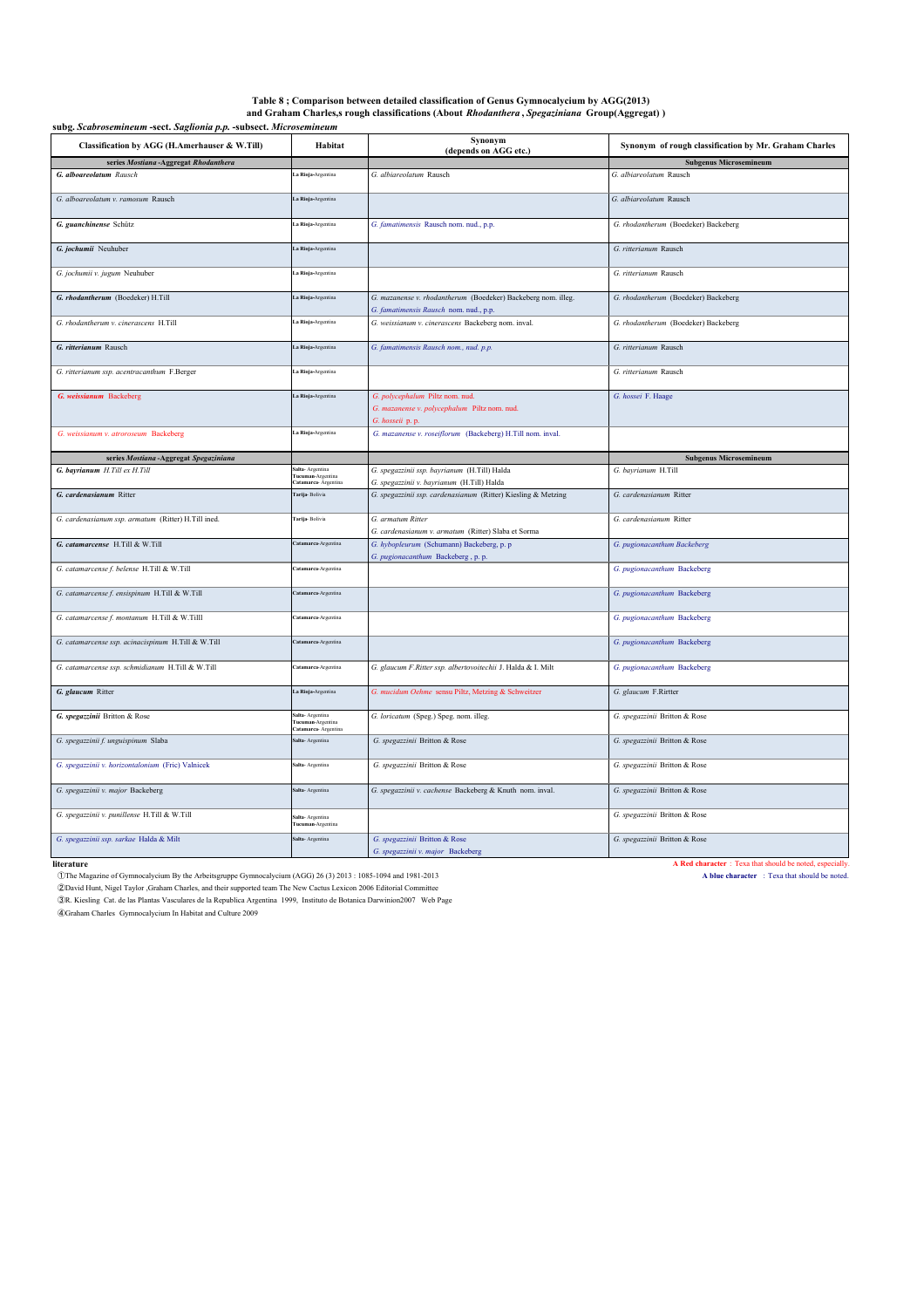| Table 8; Comparison between detailed classification of Genus Gymnocalycium by AGG(2013)      |  |
|----------------------------------------------------------------------------------------------|--|
| and Graham Charles, srough classifications (About Rhodanthera, Spegaziniana Group(Aggregat)) |  |

| and Gramam Charles,s rough enassineations (rioout Intourminera ; opega.mama Group(riggregat) )<br>subg. Scabrosemineum -sect. Saglionia p.p. -subsect. Microsemineum |                                                                    |                                                                                                         |                                                       |  |
|----------------------------------------------------------------------------------------------------------------------------------------------------------------------|--------------------------------------------------------------------|---------------------------------------------------------------------------------------------------------|-------------------------------------------------------|--|
| Classification by AGG (H.Amerhauser & W.Till)                                                                                                                        | Habitat                                                            | Synonym<br>(depends on AGG etc.)                                                                        | Synonym of rough classification by Mr. Graham Charles |  |
| series Mostiana-Aggregat Rhodanthera                                                                                                                                 |                                                                    |                                                                                                         | <b>Subgenus Microsemineum</b>                         |  |
| G. alboareolatum Rausch                                                                                                                                              | .a Rioja-Argentina                                                 | G. albiareolatum Rausch                                                                                 | G. albiareolatum Rausch                               |  |
| G. alboareolatum v. ramosum Rausch                                                                                                                                   | La Rioja-Argentina                                                 |                                                                                                         | G. albiareolatum Rausch                               |  |
| G. guanchinense Schütz                                                                                                                                               | .a Rioja-Argentina                                                 | G. famatimensis Rausch nom. nud., p.p.                                                                  | G. rhodantherum (Boedeker) Backeberg                  |  |
| G. jochumii Neuhuber                                                                                                                                                 | La Rioja-Argentina                                                 |                                                                                                         | G. ritterianum Rausch                                 |  |
| G. jochumii v. jugum Neuhuber                                                                                                                                        | .a Rioja-Argentina                                                 |                                                                                                         | G. ritterianum Rausch                                 |  |
| G. rhodantherum (Boedeker) H.Till                                                                                                                                    | La Rioja-Argentina                                                 | G. mazanense v. rhodantherum (Boedeker) Backeberg nom. illeg.<br>G. famatimensis Rausch nom. nud., p.p. | G. rhodantherum (Boedeker) Backeberg                  |  |
| G. rhodantherum v. cinerascens H.Till                                                                                                                                | .a Rioja-Argentina                                                 | G. weissianum v. cinerascens Backeberg nom. inval.                                                      | G. rhodantherum (Boedeker) Backeberg                  |  |
| G. ritterianum Rausch                                                                                                                                                | La Rioja-Argentina                                                 | G. famatimensis Rausch nom., nud. p.p.                                                                  | G. ritterianum Rausch                                 |  |
| G. ritterianum ssp. acentracanthum F.Berger                                                                                                                          | La Rioja-Argentina                                                 |                                                                                                         | G. ritterianum Rausch                                 |  |
| G. weissianum Backeberg                                                                                                                                              | La Rioja-Argentina                                                 | G. polycephalum Piltz nom. nud.<br>G. mazanense v. polycephalum Piltz nom. nud.<br>G. hosseii p. p.     | G. hossei F. Haage                                    |  |
| G. weissianum v. atroroseum Backeberg                                                                                                                                | La Rioja-Argentina                                                 | G. mazanense v. roseiflorum (Backeberg) H.Till nom. inval.                                              |                                                       |  |
| series Mostiana-Aggregat Spegaziniana                                                                                                                                |                                                                    |                                                                                                         | <b>Subgenus Microsemineum</b>                         |  |
| G. bayrianum H.Till ex H.Till                                                                                                                                        | alta- Argentina<br><b>Tucuman-Argentina</b><br>atamarca- Argentina | G. spegazzinii ssp. bayrianum (H.Till) Halda<br>G. spegazzinii v. bayrianum (H.Till) Halda              | G. bayrianum H.Till                                   |  |
| G. cardenasianum Ritter                                                                                                                                              | Farija- Bolivia                                                    | G. spegazzinii ssp. cardenasianum (Ritter) Kiesling & Metzing                                           | G. cardenasianum Ritter                               |  |
| G. cardenasianum ssp. armatum (Ritter) H.Till ined.                                                                                                                  | Farija-Bolivia                                                     | G. armatum Ritter<br>G. cardenasianum v. armatum (Ritter) Slaba et Sorma                                | G. cardenasianum Ritter                               |  |
| G. catamarcense H.Till & W.Till                                                                                                                                      | Catamarca-Argentina                                                | G. hybopleurum (Schumann) Backeberg, p. p<br>G. pugionacanthum Backeberg, p. p.                         | G. pugionacanthum Backeberg                           |  |
| G. catamarcense f. belense H.Till & W.Till                                                                                                                           | Catamarca-Argentina                                                |                                                                                                         | G. pugionacanthum Backeberg                           |  |
| G. catamarcense f. ensispinum H.Till & W.Till                                                                                                                        | Catamarca-Argentina                                                |                                                                                                         | G. pugionacanthum Backeberg                           |  |
| G. catamarcense f. montanum H.Till & W.Tilll                                                                                                                         | atamarca-Argentina                                                 |                                                                                                         | G. pugionacanthum Backeberg                           |  |
| G. catamarcense ssp. acinacispinum H.Till & W.Till                                                                                                                   | Catamarca-Argentina                                                |                                                                                                         | G. pugionacanthum Backeberg                           |  |
| G. catamarcense ssp. schmidianum H.Till & W.Till                                                                                                                     | Catamarca-Argentina                                                | G. glaucum F.Ritter ssp. albertovoitechii J. Halda & I. Milt                                            | G. pugionacanthum Backeberg                           |  |
| G. glaucum Ritter                                                                                                                                                    | La Rioja-Argentina                                                 | G. mucidum Oehme sensu Piltz, Metzing & Schweitzer                                                      | G. glaucum F.Rirtter                                  |  |
| G. spegazzinii Britton & Rose                                                                                                                                        | alta- Argentina<br>ucuman-Argentina<br>atamarca-Argentina          | G. loricatum (Speg.) Speg. nom. illeg.                                                                  | G. spegazzinii Britton & Rose                         |  |
| G. spegazzinii f. unguispinum Slaba                                                                                                                                  | Salta- Argentina                                                   | G. spegazzinii Britton & Rose                                                                           | G. spegazzinii Britton & Rose                         |  |
| G. spegazzinii v. horizontalonium (Fric) Valnicek                                                                                                                    | Salta-Argentina                                                    | G. spegazzinii Britton & Rose                                                                           | G. spegazzinii Britton & Rose                         |  |
| G. spegazzinii v. major Backeberg                                                                                                                                    | Salta-Argentina                                                    | G. spegazzinii v. cachense Backeberg & Knuth nom. inval.                                                | G. spegazzinii Britton & Rose                         |  |
| G. spegazzinii v. punillense H.Till & W.Till                                                                                                                         | salta- Argentina<br>ucuman-Argentina                               |                                                                                                         | G. spegazzinii Britton & Rose                         |  |
| G. spegazzinii ssp. sarkae Halda & Milt                                                                                                                              | Salta- Argentina                                                   | G. spegazzinii Britton & Rose<br>G. spegazzinii v. major Backeberg                                      | G. spegazzinii Britton & Rose                         |  |

**literature A Red character** : Texa that should be noted, especially.<br> **literature A Red character** : Texa that should be noted.<br> **Complementation** of Given the Arbeits of Given Gymnocalycium (AGG) 26 (3) 2013 : 1085-1 ①The Magazine of Gymnocalycium By the Arbeitsgruppe Gymnocalycium (AGG) 26 (3) 2013 : 1085-1094 and 1981-2013 **A blue character** : Texa that should be noted.

②David Hunt, Nigel Taylor ,Graham Charles, and their supported team The New Cactus Lexicon 2006 Editorial Committee

③R. Kiesling Cat. de las Plantas Vasculares de la Republica Argentina 1999, Instituto de Botanica Darwinion2007 Web Page ④Graham Charles Gymnocalycium In Habitat and Culture 2009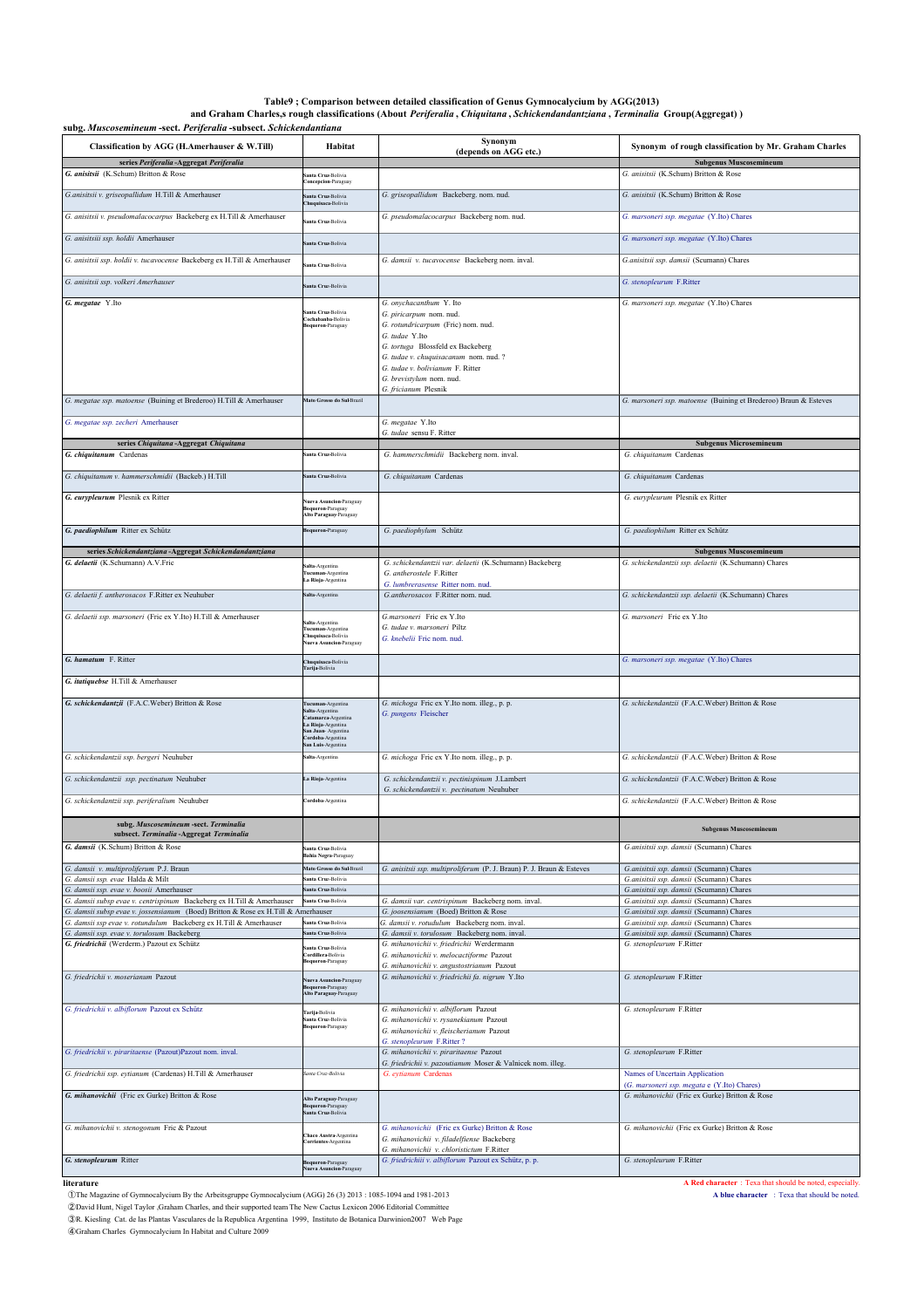### Table9 ; Comparison between detailed classification of Genus Gymnocalycium by AGG(2013)<br>( and Graham Charles,s rough classifications (About *Periferalia , Chiquitana , Schickendandantziana , Terminalia* Group(Aggregat)

| subg. Muscosemineum -sect. Periferalia -subsect. Schickendantiana                                                                                      |                                                                  |                                                                                                      |                                                                                               |  |
|--------------------------------------------------------------------------------------------------------------------------------------------------------|------------------------------------------------------------------|------------------------------------------------------------------------------------------------------|-----------------------------------------------------------------------------------------------|--|
| Classification by AGG (H.Amerhauser & W.Till)                                                                                                          | Habitat                                                          | Synonym<br>(depends on AGG etc.)                                                                     | Synonym of rough classification by Mr. Graham Charles                                         |  |
| series Periferalia-Aggregat Periferalia                                                                                                                |                                                                  |                                                                                                      | <b>Subgenus Muscosemineum</b>                                                                 |  |
| G. anisitsii (K.Schum) Britton & Rose                                                                                                                  | nta Cruz-Bolivia<br>oncepcion-Paraguay                           |                                                                                                      | G. anisitsii (K.Schum) Britton & Rose                                                         |  |
| G.anisitsii v. griseopallidum H.Till & Amerhauser                                                                                                      | anta Cruz-Bolivia<br>Chuquisaca-Bolivia                          | G. griseopallidum Backeberg. nom. nud.                                                               | G. anisitsii (K.Schum) Britton & Rose                                                         |  |
| G. anisitsii v. pseudomalacocarpus Backeberg ex H.Till & Amerhauser                                                                                    | ianta Cruz-Bolivia                                               | G. pseudomalacocarpus Backeberg nom. nud.                                                            | G. marsoneri ssp. megatae (Y.Ito) Chares                                                      |  |
| G. anisitsiii ssp. holdii Amerhauser                                                                                                                   |                                                                  |                                                                                                      | G. marsoneri ssp. megatae (Y.Ito) Chares                                                      |  |
|                                                                                                                                                        | nta Cruz-Bolivia                                                 |                                                                                                      |                                                                                               |  |
| G. anisitsii ssp. holdii v. tucavocense Backeberg ex H.Till & Amerhauser                                                                               | anta Cruz-Bolivia                                                | G. damsii v. tucavocense Backeberg nom. inval.                                                       | G.anisitsii ssp. damsii (Scumann) Chares                                                      |  |
| G. anisitsii ssp. volkeri Amerhauser                                                                                                                   | ianta Cruz-Bolivia                                               |                                                                                                      | G. stenopleurum F.Ritter                                                                      |  |
| G. megatae Y.Ito                                                                                                                                       |                                                                  | G. onychacanthum Y. Ito                                                                              | G. marsoneri ssp. megatae (Y.Ito) Chares                                                      |  |
|                                                                                                                                                        | Santa Cruz-Bolivia<br>Cochabanba-Bolivia                         | G. piricarpum nom. nud.                                                                              |                                                                                               |  |
|                                                                                                                                                        | oqueron-Paraguay                                                 | G. rotundricarpum (Fric) nom. nud.<br>G. tudae Y.Ito                                                 |                                                                                               |  |
|                                                                                                                                                        |                                                                  | G. tortuga Blossfeld ex Backeberg                                                                    |                                                                                               |  |
|                                                                                                                                                        |                                                                  | G. tudae v. chuquisacanum nom. nud. ?<br>G. tudae v. bolivianum F. Ritter                            |                                                                                               |  |
|                                                                                                                                                        |                                                                  | G. brevistylum nom. nud.                                                                             |                                                                                               |  |
| G. megatae ssp. matoense (Buining et Brederoo) H.Till & Amerhauser                                                                                     | Mato Grosso do Sul-Brazil                                        | G. fricianum Plesnik                                                                                 | G. marsoneri ssp. matoense (Buining et Brederoo) Braun & Esteves                              |  |
| G. megatae ssp. zecheri Amerhauser                                                                                                                     |                                                                  | G. megatae Y.Ito                                                                                     |                                                                                               |  |
|                                                                                                                                                        |                                                                  | G. tudae sensu F. Ritter                                                                             |                                                                                               |  |
| series Chiquitana-Aggregat Chiquitana<br>G. chiquitanum Cardenas                                                                                       | ianta Cruz-Bolivia                                               | G. hammerschmidii Backeberg nom. inval.                                                              | <b>Subgenus Microsemineum</b><br>G. chiquitanum Cardenas                                      |  |
|                                                                                                                                                        |                                                                  |                                                                                                      |                                                                                               |  |
| G. chiquitanum v. hammerschmidii (Backeb.) H.Till                                                                                                      | ianta Cruz-Bolivia                                               | G. chiquitanum Cardenas                                                                              | G. chiquitanum Cardenas                                                                       |  |
| G. eurypleurum Plesnik ex Ritter                                                                                                                       | ueva Asuncion-Paraguay                                           |                                                                                                      | G. eurypleurum Plesnik ex Ritter                                                              |  |
|                                                                                                                                                        | Boqueron-Paraguay<br>Alto Paraguay-Paraguay                      |                                                                                                      |                                                                                               |  |
| G. paediophilum Ritter ex Schütz                                                                                                                       | Boqueron-Paraguay                                                | G. paediophylum Schütz                                                                               | G. paediophilum Ritter ex Schütz                                                              |  |
| series Schickendantziana - Aggregat Schickendandantziana                                                                                               |                                                                  |                                                                                                      | <b>Subgenus Muscosemineum</b>                                                                 |  |
| G. delaetii (K.Schumann) A.V.Fric                                                                                                                      | alta-Argentina                                                   | G. schickendantzii var. delaetii (K.Schumann) Backeberg                                              | G. schickendantzii ssp. delaetii (K.Schumann) Chares                                          |  |
|                                                                                                                                                        | Fucuman-Argentina<br>La Rioja-Argentina                          | G. antherostele F.Ritter<br>G. lumbrerasense Ritter nom. nud.                                        |                                                                                               |  |
| G. delaetii f. antherosacos F.Ritter ex Neuhuber                                                                                                       | Salta-Argentina                                                  | G.antherosacos F.Ritter nom. nud.                                                                    | G. schickendantzii ssp. delaetii (K.Schumann) Chares                                          |  |
| G. delaetii ssp. marsoneri (Fric ex Y.Ito) H.Till & Amerhauser                                                                                         |                                                                  | G.marsoneri Fric ex Y.Ito                                                                            | G. marsoneri Fric ex Y.Ito                                                                    |  |
|                                                                                                                                                        | ialta-Argentina<br><b>Fucuman-Argentina</b><br>huquisaca-Bolivia | G. tudae v. marsoneri Piltz                                                                          |                                                                                               |  |
|                                                                                                                                                        | lueva Asuncion-Paraguay                                          | G. knebelii Fric nom. nud.                                                                           |                                                                                               |  |
| G. hamatum F. Ritter                                                                                                                                   | Chuquisaca-Bolivia<br>Farija-Bolivia                             |                                                                                                      | G. marsoneri ssp. megatae (Y.Ito) Chares                                                      |  |
| G. itatiquebse H.Till & Amerhauser                                                                                                                     |                                                                  |                                                                                                      |                                                                                               |  |
| G. schickendantzii (F.A.C.Weber) Britton & Rose                                                                                                        |                                                                  | G. michoga Fric ex Y.Ito nom. illeg., p. p.                                                          | G. schickendantzii (F.A.C.Weber) Britton & Rose                                               |  |
|                                                                                                                                                        | Tucuman-Argentina<br>salta-Argentina<br>atamarca-Argentina       | G. pungens Fleischer                                                                                 |                                                                                               |  |
|                                                                                                                                                        | La Rioja-Argentina<br>san Juan-Argentina<br>ordoba-Argentina     |                                                                                                      |                                                                                               |  |
|                                                                                                                                                        | an Luis-Argentina                                                |                                                                                                      |                                                                                               |  |
| G. schickendantzii ssp. bergeri Neuhuber                                                                                                               | ialta-Argentina                                                  | G. michoga Fric ex Y.Ito nom. illeg., p. p.                                                          | G. schickendantzii (F.A.C.Weber) Britton & Rose                                               |  |
| G. schickendantzii ssp. pectinatum Neuhuber                                                                                                            | La Rioja-Argentina                                               | G. schickendantzii v. pectinispinum J.Lambert                                                        | G. schickendantzii (F.A.C.Weber) Britton & Rose                                               |  |
| G. schickendantzii ssp. periferalium Neuhuber                                                                                                          | Cordoba-Argentina                                                | G. schickendantzii v. pectinatum Neuhuber                                                            | G. schickendantzii (F.A.C.Weber) Britton & Rose                                               |  |
|                                                                                                                                                        |                                                                  |                                                                                                      |                                                                                               |  |
| subg. Muscosemineum -sect. Terminalia<br>subsect. Terminalia-Aggregat Terminalia                                                                       |                                                                  |                                                                                                      | <b>Subgenus Muscosemineum</b>                                                                 |  |
| G. damsii (K.Schum) Britton & Rose                                                                                                                     | anta Cruz-Bolivia                                                |                                                                                                      | G.anisitsii ssp. damsii (Scumann) Chares                                                      |  |
| G. damsii v. multiproliferum P.J. Braun                                                                                                                | Bahia Negra-Paraguay<br>Mato Grosso do Sul-Brazil                | G. anisitsii ssp. multiproliferum (P. J. Braun) P. J. Braun & Esteves                                | G.anisitsii ssp. damsii (Scumann) Chares                                                      |  |
| G. damsii ssp. evae Halda & Milt                                                                                                                       | Santa Cruz-Bolivia                                               |                                                                                                      | G.anisitsii ssp. damsii (Scumann) Chares                                                      |  |
| G. damsii ssp. evae v. boosii Amerhauser                                                                                                               | Santa Cruz-Bolivia                                               |                                                                                                      | G.anisitsii ssp. damsii (Scumann) Chares                                                      |  |
| G. damsii subsp evae v. centrispinum Backeberg ex H.Till & Amerhauser                                                                                  | Santa Cruz-Bolivia                                               | G. damsii var. centrispinum Backeberg nom. inval.                                                    | G.anisitsii ssp. damsii (Scumann) Chares                                                      |  |
| G. damsii subsp evae v. jossensianum (Boed) Britton & Rose ex H.Till & Amerhauser<br>G. damsii ssp evae v. rotundulum Backeberg ex H.Till & Amerhauser | ianta Cruz-Bolivia                                               | G. joosensianum (Boed) Britton & Rose<br>G. damsii v. rotudulum Backeberg nom. inval.                | G.anisitsii ssp. damsii (Scumann) Chares<br>G.anisitsii ssp. damsii (Scumann) Chares          |  |
| G. damsii ssp. evae v. torulosum Backeberg                                                                                                             | anta Cruz-Bolivia                                                | G. damsii v. torulosum Backeberg nom. inval.                                                         | G.anisitsii ssp. damsii (Scumann) Chares                                                      |  |
| G. friedrichii (Werderm.) Pazout ex Schütz                                                                                                             | anta Cruz-Bolivia                                                | G. mihanovichii v. friedrichii Werdermann                                                            | G. stenopleurum F.Ritter                                                                      |  |
|                                                                                                                                                        | Cordillera-Bolivia<br><b>aqueron-Paraguay</b>                    | G. mihanovichii v. melocactiforme Pazout<br>G. mihanovichii v. angustostrianum Pazout                |                                                                                               |  |
| G. friedrichii v. moserianum Pazout                                                                                                                    | <b>Nueva Asuncion-Paraguay</b>                                   | G. mihanovichii v. friedrichii fa. nigrum Y.Ito                                                      | G. stenopleurum F.Ritter                                                                      |  |
|                                                                                                                                                        | loqueron-Paraguay<br>Alto Paraguay-Paraguay                      |                                                                                                      |                                                                                               |  |
| G. friedrichii v. albiflorum Pazout ex Schütz                                                                                                          | Tarija-Bolivia                                                   | G. mihanovichii v. albiflorum Pazout                                                                 | G. stenopleurum F.Ritter                                                                      |  |
|                                                                                                                                                        | ianta Cruz-Bolivia<br>oqueron-Paraguay                           | G. mihanovichii v. rysanekianum Pazout<br>G. mihanovichii v. fleischerianum Pazout                   |                                                                                               |  |
|                                                                                                                                                        |                                                                  | G. stenopleurum F.Ritter?                                                                            |                                                                                               |  |
| G. friedrichii v. piraritaense (Pazout)Pazout nom. inval.                                                                                              |                                                                  | G. mihanovichii v. piraritaense Pazout<br>G. friedrichii v. pazoutianum Moser & Valnicek nom. illeg. | G. stenopleurum F.Ritter                                                                      |  |
| G. friedrichii ssp. eytianum (Cardenas) H.Till & Amerhauser                                                                                            | anta Cruz-Bolivia                                                | G. eytianum Cardenas                                                                                 | Names of Uncertain Application                                                                |  |
| G. mihanovichii (Fric ex Gurke) Britton & Rose                                                                                                         |                                                                  |                                                                                                      | (G. marsoneri ssp. megata e (Y.Ito) Chares)<br>G. mihanovichii (Fric ex Gurke) Britton & Rose |  |
|                                                                                                                                                        | Alto Paraguay-Paraguay<br>Boqueron-Paraguay<br>inta Cruz-Bolivia |                                                                                                      |                                                                                               |  |
| G. mihanovichii v. stenogonum Fric & Pazout                                                                                                            |                                                                  | G. mihanovichii (Fric ex Gurke) Britton & Rose                                                       | G. mihanovichii (Fric ex Gurke) Britton & Rose                                                |  |
|                                                                                                                                                        | <b>haco Austra-Argentina</b><br>Corrientes-Argentina             | G. mihanovichii v. filadelfiense Backeberg                                                           |                                                                                               |  |
| G. stenopleurum Ritter                                                                                                                                 | Boqueron-Paraguay                                                | G. mihanovichii v. chloristictum F.Ritter<br>G. friedrichiii v. albiflorum Pazout ex Schütz, p. p.   | G. stenopleurum F.Ritter                                                                      |  |
|                                                                                                                                                        | <b>Nueva Asuncion-Paragu</b>                                     |                                                                                                      |                                                                                               |  |

**literature**<br> **literature A Red character** : Texa that should be noted, especially.<br> **A Red character** : Texa that should be noted.<br> **A Blue character** : Texa that should be noted.<br> **A Blue character** : Texa that should ①The Magazine of Gymnocalycium By the Arbeitsgruppe Gymnocalycium (AGG) 26 (3) 2013 : 1085-1094 and 1981-2013 **A blue character** : Texa that should be noted. 2 David Hunt, Nigel Taylor ,Graham Charles, and their supported team The New Cactus Lexicon 2006 Editorial Committee<br>
∂R. Kiesling Cat. de las Plantas Vasculares de la Republica Argentina 1999, Instituto de Botanica Darwi